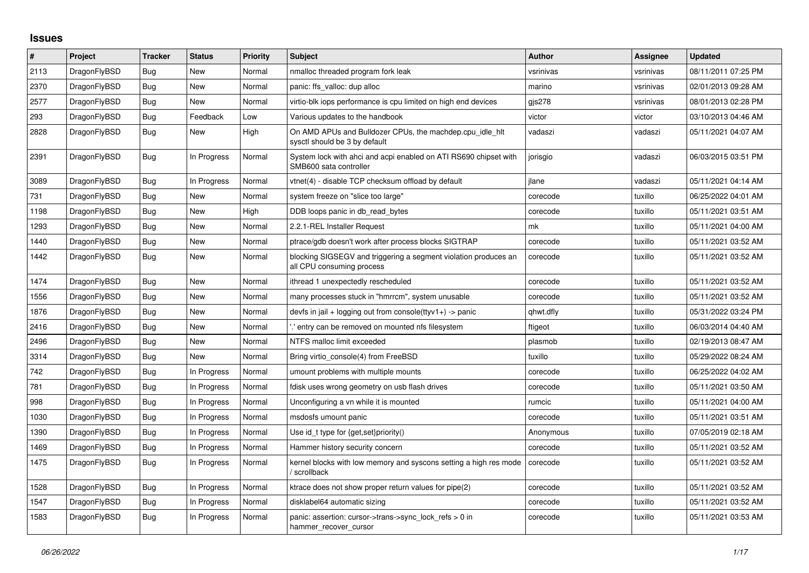## **Issues**

| #    | Project      | <b>Tracker</b> | <b>Status</b> | Priority | <b>Subject</b>                                                                               | <b>Author</b> | Assignee  | <b>Updated</b>      |
|------|--------------|----------------|---------------|----------|----------------------------------------------------------------------------------------------|---------------|-----------|---------------------|
| 2113 | DragonFlyBSD | Bug            | <b>New</b>    | Normal   | nmalloc threaded program fork leak                                                           | vsrinivas     | vsrinivas | 08/11/2011 07:25 PM |
| 2370 | DragonFlyBSD | Bug            | New           | Normal   | panic: ffs valloc: dup alloc                                                                 | marino        | vsrinivas | 02/01/2013 09:28 AM |
| 2577 | DragonFlyBSD | Bug            | New           | Normal   | virtio-blk iops performance is cpu limited on high end devices                               | gjs278        | vsrinivas | 08/01/2013 02:28 PM |
| 293  | DragonFlyBSD | Bug            | Feedback      | Low      | Various updates to the handbook                                                              | victor        | victor    | 03/10/2013 04:46 AM |
| 2828 | DragonFlyBSD | <b>Bug</b>     | New           | High     | On AMD APUs and Bulldozer CPUs, the machdep.cpu idle hit<br>sysctl should be 3 by default    | vadaszi       | vadaszi   | 05/11/2021 04:07 AM |
| 2391 | DragonFlyBSD | Bug            | In Progress   | Normal   | System lock with ahci and acpi enabled on ATI RS690 chipset with<br>SMB600 sata controller   | jorisgio      | vadaszi   | 06/03/2015 03:51 PM |
| 3089 | DragonFlyBSD | <b>Bug</b>     | In Progress   | Normal   | vtnet(4) - disable TCP checksum offload by default                                           | ilane         | vadaszi   | 05/11/2021 04:14 AM |
| 731  | DragonFlyBSD | <b>Bug</b>     | <b>New</b>    | Normal   | system freeze on "slice too large"                                                           | corecode      | tuxillo   | 06/25/2022 04:01 AM |
| 1198 | DragonFlyBSD | Bug            | New           | High     | DDB loops panic in db read bytes                                                             | corecode      | tuxillo   | 05/11/2021 03:51 AM |
| 1293 | DragonFlyBSD | <b>Bug</b>     | <b>New</b>    | Normal   | 2.2.1-REL Installer Request                                                                  | mk            | tuxillo   | 05/11/2021 04:00 AM |
| 1440 | DragonFlyBSD | Bug            | New           | Normal   | ptrace/gdb doesn't work after process blocks SIGTRAP                                         | corecode      | tuxillo   | 05/11/2021 03:52 AM |
| 1442 | DragonFlyBSD | Bug            | New           | Normal   | blocking SIGSEGV and triggering a segment violation produces an<br>all CPU consuming process | corecode      | tuxillo   | 05/11/2021 03:52 AM |
| 1474 | DragonFlyBSD | Bug            | <b>New</b>    | Normal   | ithread 1 unexpectedly rescheduled                                                           | corecode      | tuxillo   | 05/11/2021 03:52 AM |
| 1556 | DragonFlyBSD | Bug            | New           | Normal   | many processes stuck in "hmrrcm", system unusable                                            | corecode      | tuxillo   | 05/11/2021 03:52 AM |
| 1876 | DragonFlyBSD | <b>Bug</b>     | New           | Normal   | devfs in jail + logging out from console(ttyv1+) -> panic                                    | qhwt.dfly     | tuxillo   | 05/31/2022 03:24 PM |
| 2416 | DragonFlyBSD | Bug            | New           | Normal   | entry can be removed on mounted nfs filesystem.                                              | ftigeot       | tuxillo   | 06/03/2014 04:40 AM |
| 2496 | DragonFlyBSD | Bug            | New           | Normal   | NTFS malloc limit exceeded                                                                   | plasmob       | tuxillo   | 02/19/2013 08:47 AM |
| 3314 | DragonFlyBSD | Bug            | New           | Normal   | Bring virtio console(4) from FreeBSD                                                         | tuxillo       | tuxillo   | 05/29/2022 08:24 AM |
| 742  | DragonFlyBSD | Bug            | In Progress   | Normal   | umount problems with multiple mounts                                                         | corecode      | tuxillo   | 06/25/2022 04:02 AM |
| 781  | DragonFlyBSD | Bug            | In Progress   | Normal   | fdisk uses wrong geometry on usb flash drives                                                | corecode      | tuxillo   | 05/11/2021 03:50 AM |
| 998  | DragonFlyBSD | Bug            | In Progress   | Normal   | Unconfiguring a vn while it is mounted                                                       | rumcic        | tuxillo   | 05/11/2021 04:00 AM |
| 1030 | DragonFlyBSD | Bug            | In Progress   | Normal   | msdosfs umount panic                                                                         | corecode      | tuxillo   | 05/11/2021 03:51 AM |
| 1390 | DragonFlyBSD | Bug            | In Progress   | Normal   | Use id_t type for {get, set}priority()                                                       | Anonymous     | tuxillo   | 07/05/2019 02:18 AM |
| 1469 | DragonFlyBSD | Bug            | In Progress   | Normal   | Hammer history security concern                                                              | corecode      | tuxillo   | 05/11/2021 03:52 AM |
| 1475 | DragonFlyBSD | Bug            | In Progress   | Normal   | kernel blocks with low memory and syscons setting a high res mode<br>/ scrollback            | corecode      | tuxillo   | 05/11/2021 03:52 AM |
| 1528 | DragonFlyBSD | <b>Bug</b>     | In Progress   | Normal   | ktrace does not show proper return values for pipe(2)                                        | corecode      | tuxillo   | 05/11/2021 03:52 AM |
| 1547 | DragonFlyBSD | <b>Bug</b>     | In Progress   | Normal   | disklabel64 automatic sizing                                                                 | corecode      | tuxillo   | 05/11/2021 03:52 AM |
| 1583 | DragonFlyBSD | Bug            | In Progress   | Normal   | panic: assertion: cursor->trans->sync_lock_refs > 0 in<br>hammer_recover_cursor              | corecode      | tuxillo   | 05/11/2021 03:53 AM |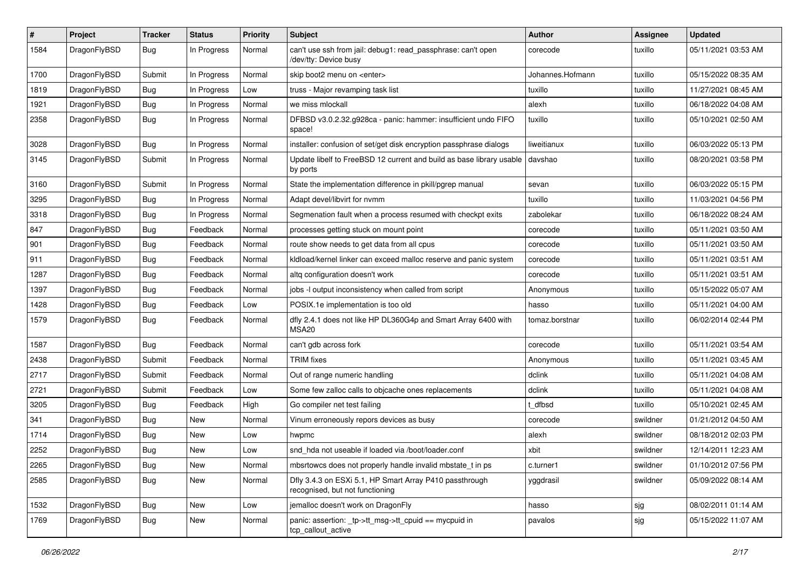| $\#$ | Project      | <b>Tracker</b> | <b>Status</b> | <b>Priority</b> | Subject                                                                                    | Author           | Assignee | <b>Updated</b>      |
|------|--------------|----------------|---------------|-----------------|--------------------------------------------------------------------------------------------|------------------|----------|---------------------|
| 1584 | DragonFlyBSD | Bug            | In Progress   | Normal          | can't use ssh from jail: debug1: read_passphrase: can't open<br>/dev/tty: Device busy      | corecode         | tuxillo  | 05/11/2021 03:53 AM |
| 1700 | DragonFlyBSD | Submit         | In Progress   | Normal          | skip boot2 menu on <enter></enter>                                                         | Johannes.Hofmann | tuxillo  | 05/15/2022 08:35 AM |
| 1819 | DragonFlyBSD | Bug            | In Progress   | Low             | truss - Major revamping task list                                                          | tuxillo          | tuxillo  | 11/27/2021 08:45 AM |
| 1921 | DragonFlyBSD | Bug            | In Progress   | Normal          | we miss mlockall                                                                           | alexh            | tuxillo  | 06/18/2022 04:08 AM |
| 2358 | DragonFlyBSD | Bug            | In Progress   | Normal          | DFBSD v3.0.2.32.g928ca - panic: hammer: insufficient undo FIFO<br>space!                   | tuxillo          | tuxillo  | 05/10/2021 02:50 AM |
| 3028 | DragonFlyBSD | Bug            | In Progress   | Normal          | installer: confusion of set/get disk encryption passphrase dialogs                         | liweitianux      | tuxillo  | 06/03/2022 05:13 PM |
| 3145 | DragonFlyBSD | Submit         | In Progress   | Normal          | Update libelf to FreeBSD 12 current and build as base library usable<br>by ports           | davshao          | tuxillo  | 08/20/2021 03:58 PM |
| 3160 | DragonFlyBSD | Submit         | In Progress   | Normal          | State the implementation difference in pkill/pgrep manual                                  | sevan            | tuxillo  | 06/03/2022 05:15 PM |
| 3295 | DragonFlyBSD | Bug            | In Progress   | Normal          | Adapt devel/libvirt for nvmm                                                               | tuxillo          | tuxillo  | 11/03/2021 04:56 PM |
| 3318 | DragonFlyBSD | Bug            | In Progress   | Normal          | Segmenation fault when a process resumed with checkpt exits                                | zabolekar        | tuxillo  | 06/18/2022 08:24 AM |
| 847  | DragonFlyBSD | Bug            | Feedback      | Normal          | processes getting stuck on mount point                                                     | corecode         | tuxillo  | 05/11/2021 03:50 AM |
| 901  | DragonFlyBSD | Bug            | Feedback      | Normal          | route show needs to get data from all cpus                                                 | corecode         | tuxillo  | 05/11/2021 03:50 AM |
| 911  | DragonFlyBSD | <b>Bug</b>     | Feedback      | Normal          | kldload/kernel linker can exceed malloc reserve and panic system                           | corecode         | tuxillo  | 05/11/2021 03:51 AM |
| 1287 | DragonFlyBSD | <b>Bug</b>     | Feedback      | Normal          | altg configuration doesn't work                                                            | corecode         | tuxillo  | 05/11/2021 03:51 AM |
| 1397 | DragonFlyBSD | Bug            | Feedback      | Normal          | jobs -I output inconsistency when called from script                                       | Anonymous        | tuxillo  | 05/15/2022 05:07 AM |
| 1428 | DragonFlyBSD | <b>Bug</b>     | Feedback      | Low             | POSIX.1e implementation is too old                                                         | hasso            | tuxillo  | 05/11/2021 04:00 AM |
| 1579 | DragonFlyBSD | Bug            | Feedback      | Normal          | dfly 2.4.1 does not like HP DL360G4p and Smart Array 6400 with<br>MSA20                    | tomaz.borstnar   | tuxillo  | 06/02/2014 02:44 PM |
| 1587 | DragonFlyBSD | Bug            | Feedback      | Normal          | can't gdb across fork                                                                      | corecode         | tuxillo  | 05/11/2021 03:54 AM |
| 2438 | DragonFlyBSD | Submit         | Feedback      | Normal          | <b>TRIM</b> fixes                                                                          | Anonymous        | tuxillo  | 05/11/2021 03:45 AM |
| 2717 | DragonFlyBSD | Submit         | Feedback      | Normal          | Out of range numeric handling                                                              | dclink           | tuxillo  | 05/11/2021 04:08 AM |
| 2721 | DragonFlyBSD | Submit         | Feedback      | Low             | Some few zalloc calls to objcache ones replacements                                        | dclink           | tuxillo  | 05/11/2021 04:08 AM |
| 3205 | DragonFlyBSD | Bug            | Feedback      | High            | Go compiler net test failing                                                               | : dfbsd          | tuxillo  | 05/10/2021 02:45 AM |
| 341  | DragonFlyBSD | Bug            | New           | Normal          | Vinum erroneously repors devices as busy                                                   | corecode         | swildner | 01/21/2012 04:50 AM |
| 1714 | DragonFlyBSD | Bug            | New           | Low             | hwpmc                                                                                      | alexh            | swildner | 08/18/2012 02:03 PM |
| 2252 | DragonFlyBSD | <b>Bug</b>     | New           | Low             | snd hda not useable if loaded via /boot/loader.conf                                        | xbit             | swildner | 12/14/2011 12:23 AM |
| 2265 | DragonFlyBSD | <b>Bug</b>     | New           | Normal          | mbsrtowcs does not properly handle invalid mbstate_t in ps                                 | c.turner1        | swildner | 01/10/2012 07:56 PM |
| 2585 | DragonFlyBSD | <b>Bug</b>     | New           | Normal          | Dfly 3.4.3 on ESXi 5.1, HP Smart Array P410 passthrough<br>recognised, but not functioning | yggdrasil        | swildner | 05/09/2022 08:14 AM |
| 1532 | DragonFlyBSD | <b>Bug</b>     | <b>New</b>    | Low             | jemalloc doesn't work on DragonFly                                                         | hasso            | sjg      | 08/02/2011 01:14 AM |
| 1769 | DragonFlyBSD | <b>Bug</b>     | New           | Normal          | panic: assertion: _tp->tt_msg->tt_cpuid == mycpuid in<br>tcp_callout_active                | pavalos          | sjg      | 05/15/2022 11:07 AM |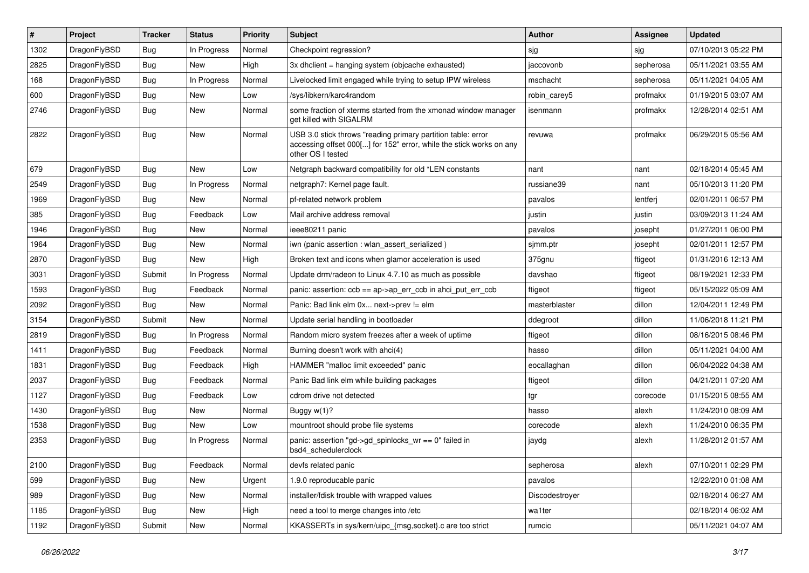| $\#$ | Project      | <b>Tracker</b> | <b>Status</b> | <b>Priority</b> | <b>Subject</b>                                                                                                                                           | <b>Author</b>  | Assignee  | <b>Updated</b>      |
|------|--------------|----------------|---------------|-----------------|----------------------------------------------------------------------------------------------------------------------------------------------------------|----------------|-----------|---------------------|
| 1302 | DragonFlyBSD | <b>Bug</b>     | In Progress   | Normal          | Checkpoint regression?                                                                                                                                   | sjg            | sjg       | 07/10/2013 05:22 PM |
| 2825 | DragonFlyBSD | Bug            | <b>New</b>    | High            | 3x dhclient = hanging system (objcache exhausted)                                                                                                        | jaccovonb      | sepherosa | 05/11/2021 03:55 AM |
| 168  | DragonFlyBSD | <b>Bug</b>     | In Progress   | Normal          | Livelocked limit engaged while trying to setup IPW wireless                                                                                              | mschacht       | sepherosa | 05/11/2021 04:05 AM |
| 600  | DragonFlyBSD | Bug            | New           | Low             | /sys/libkern/karc4random                                                                                                                                 | robin carey5   | profmakx  | 01/19/2015 03:07 AM |
| 2746 | DragonFlyBSD | Bug            | New           | Normal          | some fraction of xterms started from the xmonad window manager<br>get killed with SIGALRM                                                                | isenmann       | profmakx  | 12/28/2014 02:51 AM |
| 2822 | DragonFlyBSD | <b>Bug</b>     | <b>New</b>    | Normal          | USB 3.0 stick throws "reading primary partition table: error<br>accessing offset 000[] for 152" error, while the stick works on any<br>other OS I tested | revuwa         | profmakx  | 06/29/2015 05:56 AM |
| 679  | DragonFlyBSD | <b>Bug</b>     | <b>New</b>    | Low             | Netgraph backward compatibility for old *LEN constants                                                                                                   | nant           | nant      | 02/18/2014 05:45 AM |
| 2549 | DragonFlyBSD | Bug            | In Progress   | Normal          | netgraph7: Kernel page fault.                                                                                                                            | russiane39     | nant      | 05/10/2013 11:20 PM |
| 1969 | DragonFlyBSD | Bug            | New           | Normal          | pf-related network problem                                                                                                                               | pavalos        | lentferj  | 02/01/2011 06:57 PM |
| 385  | DragonFlyBSD | <b>Bug</b>     | Feedback      | Low             | Mail archive address removal                                                                                                                             | justin         | justin    | 03/09/2013 11:24 AM |
| 1946 | DragonFlyBSD | Bug            | New           | Normal          | ieee80211 panic                                                                                                                                          | pavalos        | josepht   | 01/27/2011 06:00 PM |
| 1964 | DragonFlyBSD | Bug            | <b>New</b>    | Normal          | iwn (panic assertion : wlan assert serialized)                                                                                                           | sjmm.ptr       | josepht   | 02/01/2011 12:57 PM |
| 2870 | DragonFlyBSD | Bug            | New           | High            | Broken text and icons when glamor acceleration is used                                                                                                   | 375gnu         | ftigeot   | 01/31/2016 12:13 AM |
| 3031 | DragonFlyBSD | Submit         | In Progress   | Normal          | Update drm/radeon to Linux 4.7.10 as much as possible                                                                                                    | davshao        | ftigeot   | 08/19/2021 12:33 PM |
| 1593 | DragonFlyBSD | Bug            | Feedback      | Normal          | panic: assertion: ccb == ap->ap_err_ccb in ahci_put_err_ccb                                                                                              | ftigeot        | ftigeot   | 05/15/2022 05:09 AM |
| 2092 | DragonFlyBSD | <b>Bug</b>     | New           | Normal          | Panic: Bad link elm 0x next->prev != elm                                                                                                                 | masterblaster  | dillon    | 12/04/2011 12:49 PM |
| 3154 | DragonFlyBSD | Submit         | New           | Normal          | Update serial handling in bootloader                                                                                                                     | ddegroot       | dillon    | 11/06/2018 11:21 PM |
| 2819 | DragonFlyBSD | Bug            | In Progress   | Normal          | Random micro system freezes after a week of uptime                                                                                                       | ftigeot        | dillon    | 08/16/2015 08:46 PM |
| 1411 | DragonFlyBSD | <b>Bug</b>     | Feedback      | Normal          | Burning doesn't work with ahci(4)                                                                                                                        | hasso          | dillon    | 05/11/2021 04:00 AM |
| 1831 | DragonFlyBSD | Bug            | Feedback      | High            | HAMMER "malloc limit exceeded" panic                                                                                                                     | eocallaghan    | dillon    | 06/04/2022 04:38 AM |
| 2037 | DragonFlyBSD | Bug            | Feedback      | Normal          | Panic Bad link elm while building packages                                                                                                               | ftigeot        | dillon    | 04/21/2011 07:20 AM |
| 1127 | DragonFlyBSD | <b>Bug</b>     | Feedback      | Low             | cdrom drive not detected                                                                                                                                 | tgr            | corecode  | 01/15/2015 08:55 AM |
| 1430 | DragonFlyBSD | <b>Bug</b>     | New           | Normal          | Buggy w(1)?                                                                                                                                              | hasso          | alexh     | 11/24/2010 08:09 AM |
| 1538 | DragonFlyBSD | <b>Bug</b>     | New           | Low             | mountroot should probe file systems                                                                                                                      | corecode       | alexh     | 11/24/2010 06:35 PM |
| 2353 | DragonFlyBSD | <b>Bug</b>     | In Progress   | Normal          | panic: assertion "gd->gd_spinlocks_wr == 0" failed in<br>bsd4 schedulerclock                                                                             | jaydg          | alexh     | 11/28/2012 01:57 AM |
| 2100 | DragonFlyBSD | <b>Bug</b>     | Feedback      | Normal          | devfs related panic                                                                                                                                      | sepherosa      | alexh     | 07/10/2011 02:29 PM |
| 599  | DragonFlyBSD | <b>Bug</b>     | New           | Urgent          | 1.9.0 reproducable panic                                                                                                                                 | pavalos        |           | 12/22/2010 01:08 AM |
| 989  | DragonFlyBSD | <b>Bug</b>     | New           | Normal          | installer/fdisk trouble with wrapped values                                                                                                              | Discodestroyer |           | 02/18/2014 06:27 AM |
| 1185 | DragonFlyBSD | <b>Bug</b>     | New           | High            | need a tool to merge changes into /etc                                                                                                                   | wa1ter         |           | 02/18/2014 06:02 AM |
| 1192 | DragonFlyBSD | Submit         | New           | Normal          | KKASSERTs in sys/kern/uipc_{msg,socket}.c are too strict                                                                                                 | rumcic         |           | 05/11/2021 04:07 AM |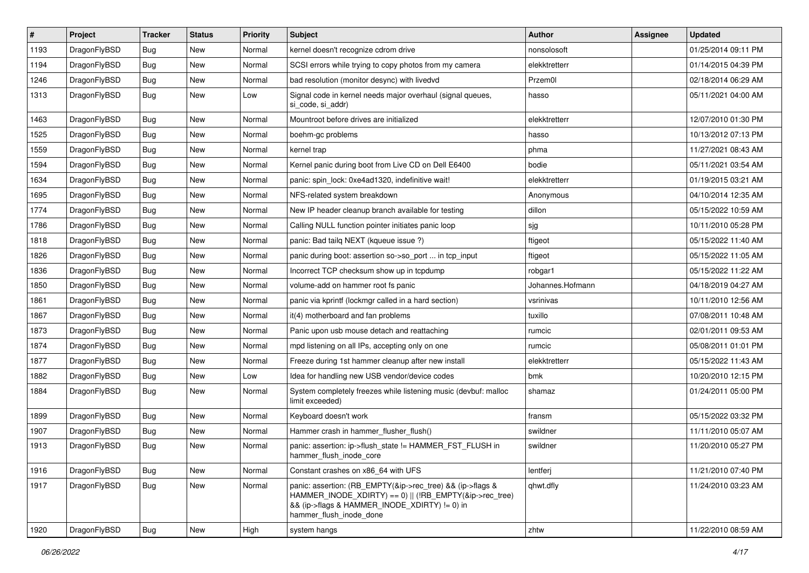| #    | Project      | <b>Tracker</b> | <b>Status</b> | <b>Priority</b> | Subject                                                                                                                                                                                           | Author           | Assignee | <b>Updated</b>      |
|------|--------------|----------------|---------------|-----------------|---------------------------------------------------------------------------------------------------------------------------------------------------------------------------------------------------|------------------|----------|---------------------|
| 1193 | DragonFlyBSD | Bug            | <b>New</b>    | Normal          | kernel doesn't recognize cdrom drive                                                                                                                                                              | nonsolosoft      |          | 01/25/2014 09:11 PM |
| 1194 | DragonFlyBSD | Bug            | <b>New</b>    | Normal          | SCSI errors while trying to copy photos from my camera                                                                                                                                            | elekktretterr    |          | 01/14/2015 04:39 PM |
| 1246 | DragonFlyBSD | <b>Bug</b>     | New           | Normal          | bad resolution (monitor desync) with livedvd                                                                                                                                                      | Przem0l          |          | 02/18/2014 06:29 AM |
| 1313 | DragonFlyBSD | Bug            | New           | Low             | Signal code in kernel needs major overhaul (signal queues,<br>si code, si addr)                                                                                                                   | hasso            |          | 05/11/2021 04:00 AM |
| 1463 | DragonFlyBSD | <b>Bug</b>     | <b>New</b>    | Normal          | Mountroot before drives are initialized                                                                                                                                                           | elekktretterr    |          | 12/07/2010 01:30 PM |
| 1525 | DragonFlyBSD | Bug            | New           | Normal          | boehm-gc problems                                                                                                                                                                                 | hasso            |          | 10/13/2012 07:13 PM |
| 1559 | DragonFlyBSD | <b>Bug</b>     | <b>New</b>    | Normal          | kernel trap                                                                                                                                                                                       | phma             |          | 11/27/2021 08:43 AM |
| 1594 | DragonFlyBSD | Bug            | <b>New</b>    | Normal          | Kernel panic during boot from Live CD on Dell E6400                                                                                                                                               | bodie            |          | 05/11/2021 03:54 AM |
| 1634 | DragonFlyBSD | Bug            | <b>New</b>    | Normal          | panic: spin lock: 0xe4ad1320, indefinitive wait!                                                                                                                                                  | elekktretterr    |          | 01/19/2015 03:21 AM |
| 1695 | DragonFlyBSD | <b>Bug</b>     | New           | Normal          | NFS-related system breakdown                                                                                                                                                                      | Anonymous        |          | 04/10/2014 12:35 AM |
| 1774 | DragonFlyBSD | Bug            | <b>New</b>    | Normal          | New IP header cleanup branch available for testing                                                                                                                                                | dillon           |          | 05/15/2022 10:59 AM |
| 1786 | DragonFlyBSD | <b>Bug</b>     | New           | Normal          | Calling NULL function pointer initiates panic loop                                                                                                                                                | sjg              |          | 10/11/2010 05:28 PM |
| 1818 | DragonFlyBSD | <b>Bug</b>     | <b>New</b>    | Normal          | panic: Bad tailq NEXT (kqueue issue ?)                                                                                                                                                            | ftigeot          |          | 05/15/2022 11:40 AM |
| 1826 | DragonFlyBSD | Bug            | <b>New</b>    | Normal          | panic during boot: assertion so->so_port  in tcp_input                                                                                                                                            | ftigeot          |          | 05/15/2022 11:05 AM |
| 1836 | DragonFlyBSD | Bug            | <b>New</b>    | Normal          | Incorrect TCP checksum show up in tcpdump                                                                                                                                                         | robgar1          |          | 05/15/2022 11:22 AM |
| 1850 | DragonFlyBSD | Bug            | <b>New</b>    | Normal          | volume-add on hammer root fs panic                                                                                                                                                                | Johannes.Hofmann |          | 04/18/2019 04:27 AM |
| 1861 | DragonFlyBSD | Bug            | <b>New</b>    | Normal          | panic via kprintf (lockmgr called in a hard section)                                                                                                                                              | vsrinivas        |          | 10/11/2010 12:56 AM |
| 1867 | DragonFlyBSD | Bug            | <b>New</b>    | Normal          | it(4) motherboard and fan problems                                                                                                                                                                | tuxillo          |          | 07/08/2011 10:48 AM |
| 1873 | DragonFlyBSD | <b>Bug</b>     | <b>New</b>    | Normal          | Panic upon usb mouse detach and reattaching                                                                                                                                                       | rumcic           |          | 02/01/2011 09:53 AM |
| 1874 | DragonFlyBSD | <b>Bug</b>     | <b>New</b>    | Normal          | mpd listening on all IPs, accepting only on one                                                                                                                                                   | rumcic           |          | 05/08/2011 01:01 PM |
| 1877 | DragonFlyBSD | Bug            | <b>New</b>    | Normal          | Freeze during 1st hammer cleanup after new install                                                                                                                                                | elekktretterr    |          | 05/15/2022 11:43 AM |
| 1882 | DragonFlyBSD | Bug            | <b>New</b>    | Low             | Idea for handling new USB vendor/device codes                                                                                                                                                     | bmk              |          | 10/20/2010 12:15 PM |
| 1884 | DragonFlyBSD | Bug            | New           | Normal          | System completely freezes while listening music (devbuf: malloc<br>limit exceeded)                                                                                                                | shamaz           |          | 01/24/2011 05:00 PM |
| 1899 | DragonFlyBSD | Bug            | <b>New</b>    | Normal          | Keyboard doesn't work                                                                                                                                                                             | fransm           |          | 05/15/2022 03:32 PM |
| 1907 | DragonFlyBSD | Bug            | <b>New</b>    | Normal          | Hammer crash in hammer flusher flush()                                                                                                                                                            | swildner         |          | 11/11/2010 05:07 AM |
| 1913 | DragonFlyBSD | Bug            | <b>New</b>    | Normal          | panic: assertion: ip->flush_state != HAMMER_FST_FLUSH in<br>hammer flush inode core                                                                                                               | swildner         |          | 11/20/2010 05:27 PM |
| 1916 | DragonFlyBSD | Bug            | New           | Normal          | Constant crashes on x86 64 with UFS                                                                                                                                                               | lentferj         |          | 11/21/2010 07:40 PM |
| 1917 | DragonFlyBSD | <b>Bug</b>     | New           | Normal          | panic: assertion: (RB EMPTY(&ip->rec tree) && (ip->flags &<br>HAMMER_INODE_XDIRTY) == 0)    (!RB_EMPTY(&ip->rec_tree)<br>&& (ip->flags & HAMMER_INODE_XDIRTY) != 0) in<br>hammer_flush_inode_done | qhwt.dfly        |          | 11/24/2010 03:23 AM |
| 1920 | DragonFlyBSD | <b>Bug</b>     | New           | High            | system hangs                                                                                                                                                                                      | zhtw             |          | 11/22/2010 08:59 AM |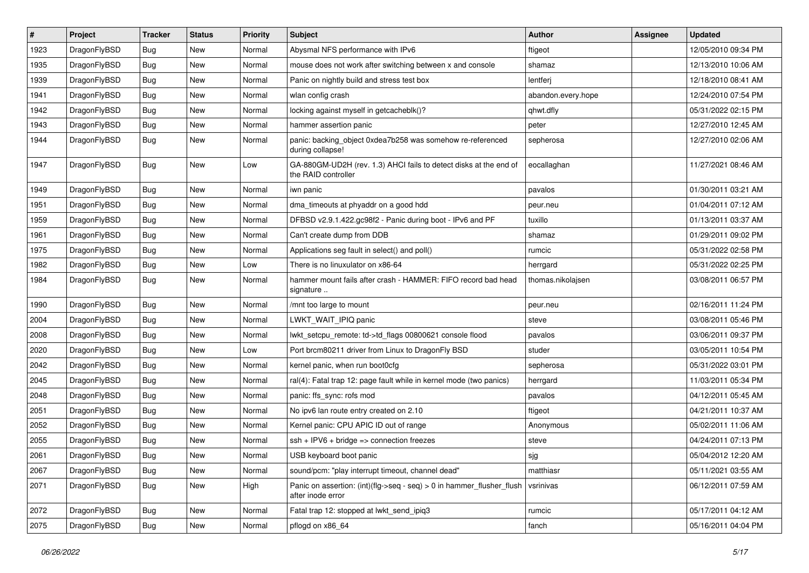| $\vert$ # | Project      | <b>Tracker</b> | <b>Status</b> | <b>Priority</b> | <b>Subject</b>                                                                                | Author             | <b>Assignee</b> | <b>Updated</b>      |
|-----------|--------------|----------------|---------------|-----------------|-----------------------------------------------------------------------------------------------|--------------------|-----------------|---------------------|
| 1923      | DragonFlyBSD | Bug            | <b>New</b>    | Normal          | Abysmal NFS performance with IPv6                                                             | ftigeot            |                 | 12/05/2010 09:34 PM |
| 1935      | DragonFlyBSD | <b>Bug</b>     | <b>New</b>    | Normal          | mouse does not work after switching between x and console                                     | shamaz             |                 | 12/13/2010 10:06 AM |
| 1939      | DragonFlyBSD | <b>Bug</b>     | <b>New</b>    | Normal          | Panic on nightly build and stress test box                                                    | lentferj           |                 | 12/18/2010 08:41 AM |
| 1941      | DragonFlyBSD | <b>Bug</b>     | <b>New</b>    | Normal          | wlan config crash                                                                             | abandon.every.hope |                 | 12/24/2010 07:54 PM |
| 1942      | DragonFlyBSD | Bug            | <b>New</b>    | Normal          | locking against myself in getcacheblk()?                                                      | qhwt.dfly          |                 | 05/31/2022 02:15 PM |
| 1943      | DragonFlyBSD | <b>Bug</b>     | New           | Normal          | hammer assertion panic                                                                        | peter              |                 | 12/27/2010 12:45 AM |
| 1944      | DragonFlyBSD | Bug            | <b>New</b>    | Normal          | panic: backing_object 0xdea7b258 was somehow re-referenced<br>during collapse!                | sepherosa          |                 | 12/27/2010 02:06 AM |
| 1947      | DragonFlyBSD | Bug            | <b>New</b>    | Low             | GA-880GM-UD2H (rev. 1.3) AHCI fails to detect disks at the end of<br>the RAID controller      | eocallaghan        |                 | 11/27/2021 08:46 AM |
| 1949      | DragonFlyBSD | <b>Bug</b>     | <b>New</b>    | Normal          | iwn panic                                                                                     | pavalos            |                 | 01/30/2011 03:21 AM |
| 1951      | DragonFlyBSD | Bug            | New           | Normal          | dma_timeouts at phyaddr on a good hdd                                                         | peur.neu           |                 | 01/04/2011 07:12 AM |
| 1959      | DragonFlyBSD | <b>Bug</b>     | <b>New</b>    | Normal          | DFBSD v2.9.1.422.gc98f2 - Panic during boot - IPv6 and PF                                     | tuxillo            |                 | 01/13/2011 03:37 AM |
| 1961      | DragonFlyBSD | <b>Bug</b>     | New           | Normal          | Can't create dump from DDB                                                                    | shamaz             |                 | 01/29/2011 09:02 PM |
| 1975      | DragonFlyBSD | Bug            | <b>New</b>    | Normal          | Applications seg fault in select() and poll()                                                 | rumcic             |                 | 05/31/2022 02:58 PM |
| 1982      | DragonFlyBSD | <b>Bug</b>     | <b>New</b>    | Low             | There is no linuxulator on x86-64                                                             | herrgard           |                 | 05/31/2022 02:25 PM |
| 1984      | DragonFlyBSD | Bug            | <b>New</b>    | Normal          | hammer mount fails after crash - HAMMER: FIFO record bad head<br>signature                    | thomas.nikolajsen  |                 | 03/08/2011 06:57 PM |
| 1990      | DragonFlyBSD | <b>Bug</b>     | <b>New</b>    | Normal          | /mnt too large to mount                                                                       | peur.neu           |                 | 02/16/2011 11:24 PM |
| 2004      | DragonFlyBSD | Bug            | New           | Normal          | LWKT WAIT IPIQ panic                                                                          | steve              |                 | 03/08/2011 05:46 PM |
| 2008      | DragonFlyBSD | <b>Bug</b>     | <b>New</b>    | Normal          | lwkt_setcpu_remote: td->td_flags 00800621 console flood                                       | pavalos            |                 | 03/06/2011 09:37 PM |
| 2020      | DragonFlyBSD | Bug            | New           | Low             | Port brcm80211 driver from Linux to DragonFly BSD                                             | studer             |                 | 03/05/2011 10:54 PM |
| 2042      | DragonFlyBSD | <b>Bug</b>     | <b>New</b>    | Normal          | kernel panic, when run boot0cfg                                                               | sepherosa          |                 | 05/31/2022 03:01 PM |
| 2045      | DragonFlyBSD | <b>Bug</b>     | New           | Normal          | ral(4): Fatal trap 12: page fault while in kernel mode (two panics)                           | herrgard           |                 | 11/03/2011 05:34 PM |
| 2048      | DragonFlyBSD | <b>Bug</b>     | <b>New</b>    | Normal          | panic: ffs_sync: rofs mod                                                                     | pavalos            |                 | 04/12/2011 05:45 AM |
| 2051      | DragonFlyBSD | Bug            | <b>New</b>    | Normal          | No ipv6 lan route entry created on 2.10                                                       | ftigeot            |                 | 04/21/2011 10:37 AM |
| 2052      | DragonFlyBSD | <b>Bug</b>     | New           | Normal          | Kernel panic: CPU APIC ID out of range                                                        | Anonymous          |                 | 05/02/2011 11:06 AM |
| 2055      | DragonFlyBSD | Bug            | <b>New</b>    | Normal          | $ssh + IPV6 + bridge \Rightarrow connection freezes$                                          | steve              |                 | 04/24/2011 07:13 PM |
| 2061      | DragonFlyBSD | Bug            | New           | Normal          | USB keyboard boot panic                                                                       | sjg                |                 | 05/04/2012 12:20 AM |
| 2067      | DragonFlyBSD | <b>Bug</b>     | <b>New</b>    | Normal          | sound/pcm: "play interrupt timeout, channel dead"                                             | matthiasr          |                 | 05/11/2021 03:55 AM |
| 2071      | DragonFlyBSD | <b>Bug</b>     | New           | High            | Panic on assertion: $(int)(flag->seq - seq) > 0$ in hammer flusher flush<br>after inode error | vsrinivas          |                 | 06/12/2011 07:59 AM |
| 2072      | DragonFlyBSD | Bug            | New           | Normal          | Fatal trap 12: stopped at lwkt_send_ipiq3                                                     | rumcic             |                 | 05/17/2011 04:12 AM |
| 2075      | DragonFlyBSD | Bug            | New           | Normal          | pflogd on x86_64                                                                              | fanch              |                 | 05/16/2011 04:04 PM |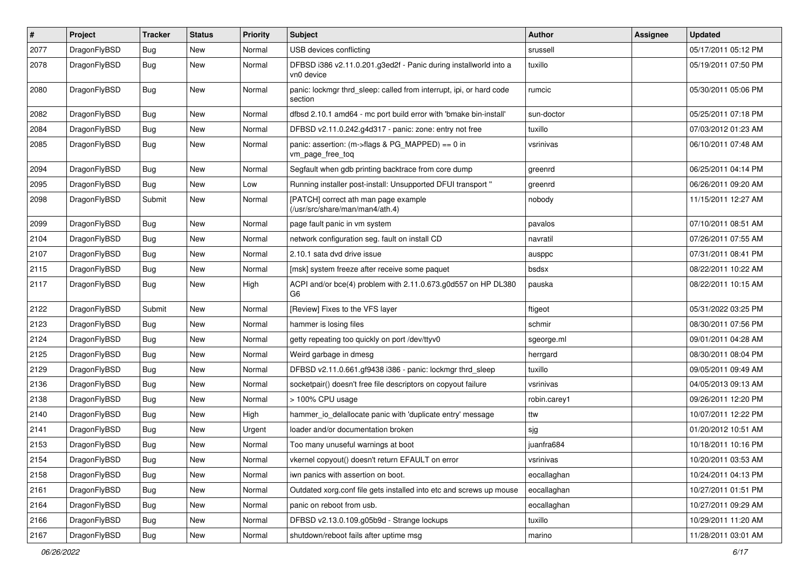| $\pmb{\#}$ | Project      | <b>Tracker</b> | <b>Status</b> | <b>Priority</b> | Subject                                                                        | Author       | Assignee | <b>Updated</b>      |
|------------|--------------|----------------|---------------|-----------------|--------------------------------------------------------------------------------|--------------|----------|---------------------|
| 2077       | DragonFlyBSD | <b>Bug</b>     | New           | Normal          | USB devices conflicting                                                        | srussell     |          | 05/17/2011 05:12 PM |
| 2078       | DragonFlyBSD | Bug            | New           | Normal          | DFBSD i386 v2.11.0.201.g3ed2f - Panic during installworld into a<br>vn0 device | tuxillo      |          | 05/19/2011 07:50 PM |
| 2080       | DragonFlyBSD | Bug            | New           | Normal          | panic: lockmgr thrd_sleep: called from interrupt, ipi, or hard code<br>section | rumcic       |          | 05/30/2011 05:06 PM |
| 2082       | DragonFlyBSD | <b>Bug</b>     | <b>New</b>    | Normal          | dfbsd 2.10.1 amd64 - mc port build error with 'bmake bin-install'              | sun-doctor   |          | 05/25/2011 07:18 PM |
| 2084       | DragonFlyBSD | Bug            | New           | Normal          | DFBSD v2.11.0.242.g4d317 - panic: zone: entry not free                         | tuxillo      |          | 07/03/2012 01:23 AM |
| 2085       | DragonFlyBSD | Bug            | <b>New</b>    | Normal          | panic: assertion: (m->flags & PG_MAPPED) == 0 in<br>vm_page_free_toq           | vsrinivas    |          | 06/10/2011 07:48 AM |
| 2094       | DragonFlyBSD | Bug            | <b>New</b>    | Normal          | Segfault when gdb printing backtrace from core dump                            | greenrd      |          | 06/25/2011 04:14 PM |
| 2095       | DragonFlyBSD | Bug            | New           | Low             | Running installer post-install: Unsupported DFUI transport "                   | greenrd      |          | 06/26/2011 09:20 AM |
| 2098       | DragonFlyBSD | Submit         | New           | Normal          | [PATCH] correct ath man page example<br>(/usr/src/share/man/man4/ath.4)        | nobody       |          | 11/15/2011 12:27 AM |
| 2099       | DragonFlyBSD | <b>Bug</b>     | <b>New</b>    | Normal          | page fault panic in vm system                                                  | pavalos      |          | 07/10/2011 08:51 AM |
| 2104       | DragonFlyBSD | Bug            | New           | Normal          | network configuration seg. fault on install CD                                 | navratil     |          | 07/26/2011 07:55 AM |
| 2107       | DragonFlyBSD | Bug            | New           | Normal          | 2.10.1 sata dvd drive issue                                                    | ausppc       |          | 07/31/2011 08:41 PM |
| 2115       | DragonFlyBSD | Bug            | <b>New</b>    | Normal          | [msk] system freeze after receive some paquet                                  | bsdsx        |          | 08/22/2011 10:22 AM |
| 2117       | DragonFlyBSD | Bug            | <b>New</b>    | High            | ACPI and/or bce(4) problem with 2.11.0.673.g0d557 on HP DL380<br>G6            | pauska       |          | 08/22/2011 10:15 AM |
| 2122       | DragonFlyBSD | Submit         | New           | Normal          | [Review] Fixes to the VFS layer                                                | ftigeot      |          | 05/31/2022 03:25 PM |
| 2123       | DragonFlyBSD | <b>Bug</b>     | New           | Normal          | hammer is losing files                                                         | schmir       |          | 08/30/2011 07:56 PM |
| 2124       | DragonFlyBSD | Bug            | New           | Normal          | getty repeating too quickly on port /dev/ttyv0                                 | sgeorge.ml   |          | 09/01/2011 04:28 AM |
| 2125       | DragonFlyBSD | Bug            | <b>New</b>    | Normal          | Weird garbage in dmesg                                                         | herrgard     |          | 08/30/2011 08:04 PM |
| 2129       | DragonFlyBSD | Bug            | New           | Normal          | DFBSD v2.11.0.661.gf9438 i386 - panic: lockmgr thrd_sleep                      | tuxillo      |          | 09/05/2011 09:49 AM |
| 2136       | DragonFlyBSD | Bug            | New           | Normal          | socketpair() doesn't free file descriptors on copyout failure                  | vsrinivas    |          | 04/05/2013 09:13 AM |
| 2138       | DragonFlyBSD | Bug            | <b>New</b>    | Normal          | > 100% CPU usage                                                               | robin.carey1 |          | 09/26/2011 12:20 PM |
| 2140       | DragonFlyBSD | Bug            | New           | High            | hammer_io_delallocate panic with 'duplicate entry' message                     | ttw          |          | 10/07/2011 12:22 PM |
| 2141       | DragonFlyBSD | Bug            | New           | Urgent          | loader and/or documentation broken                                             | sjg          |          | 01/20/2012 10:51 AM |
| 2153       | DragonFlyBSD | <b>Bug</b>     | New           | Normal          | Too many unuseful warnings at boot                                             | juanfra684   |          | 10/18/2011 10:16 PM |
| 2154       | DragonFlyBSD | <b>Bug</b>     | New           | Normal          | vkernel copyout() doesn't return EFAULT on error                               | vsrinivas    |          | 10/20/2011 03:53 AM |
| 2158       | DragonFlyBSD | Bug            | <b>New</b>    | Normal          | iwn panics with assertion on boot.                                             | eocallaghan  |          | 10/24/2011 04:13 PM |
| 2161       | DragonFlyBSD | <b>Bug</b>     | New           | Normal          | Outdated xorg.conf file gets installed into etc and screws up mouse            | eocallaghan  |          | 10/27/2011 01:51 PM |
| 2164       | DragonFlyBSD | <b>Bug</b>     | New           | Normal          | panic on reboot from usb.                                                      | eocallaghan  |          | 10/27/2011 09:29 AM |
| 2166       | DragonFlyBSD | Bug            | New           | Normal          | DFBSD v2.13.0.109.g05b9d - Strange lockups                                     | tuxillo      |          | 10/29/2011 11:20 AM |
| 2167       | DragonFlyBSD | Bug            | New           | Normal          | shutdown/reboot fails after uptime msg                                         | marino       |          | 11/28/2011 03:01 AM |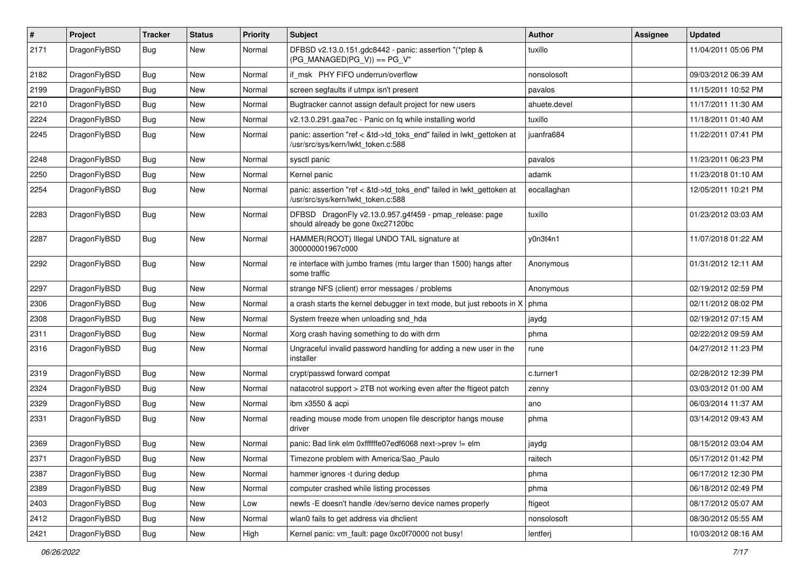| $\#$ | Project      | <b>Tracker</b> | <b>Status</b> | <b>Priority</b> | <b>Subject</b>                                                                                             | <b>Author</b> | Assignee | <b>Updated</b>      |
|------|--------------|----------------|---------------|-----------------|------------------------------------------------------------------------------------------------------------|---------------|----------|---------------------|
| 2171 | DragonFlyBSD | Bug            | <b>New</b>    | Normal          | DFBSD v2.13.0.151.gdc8442 - panic: assertion "(*ptep &<br>$(PG_MANAGED PG_V)$ == PG_V"                     | tuxillo       |          | 11/04/2011 05:06 PM |
| 2182 | DragonFlyBSD | <b>Bug</b>     | <b>New</b>    | Normal          | if msk PHY FIFO underrun/overflow                                                                          | nonsolosoft   |          | 09/03/2012 06:39 AM |
| 2199 | DragonFlyBSD | <b>Bug</b>     | New           | Normal          | screen segfaults if utmpx isn't present                                                                    | pavalos       |          | 11/15/2011 10:52 PM |
| 2210 | DragonFlyBSD | Bug            | <b>New</b>    | Normal          | Bugtracker cannot assign default project for new users                                                     | ahuete.devel  |          | 11/17/2011 11:30 AM |
| 2224 | DragonFlyBSD | <b>Bug</b>     | <b>New</b>    | Normal          | v2.13.0.291.gaa7ec - Panic on fq while installing world                                                    | tuxillo       |          | 11/18/2011 01:40 AM |
| 2245 | DragonFlyBSD | <b>Bug</b>     | New           | Normal          | panic: assertion "ref < &td->td_toks_end" failed in lwkt_gettoken at<br>/usr/src/sys/kern/lwkt_token.c:588 | juanfra684    |          | 11/22/2011 07:41 PM |
| 2248 | DragonFlyBSD | <b>Bug</b>     | <b>New</b>    | Normal          | sysctl panic                                                                                               | pavalos       |          | 11/23/2011 06:23 PM |
| 2250 | DragonFlyBSD | <b>Bug</b>     | <b>New</b>    | Normal          | Kernel panic                                                                                               | adamk         |          | 11/23/2018 01:10 AM |
| 2254 | DragonFlyBSD | Bug            | <b>New</b>    | Normal          | panic: assertion "ref < &td->td_toks_end" failed in lwkt_gettoken at<br>/usr/src/sys/kern/lwkt token.c:588 | eocallaghan   |          | 12/05/2011 10:21 PM |
| 2283 | DragonFlyBSD | <b>Bug</b>     | <b>New</b>    | Normal          | DFBSD DragonFly v2.13.0.957.g4f459 - pmap_release: page<br>should already be gone 0xc27120bc               | tuxillo       |          | 01/23/2012 03:03 AM |
| 2287 | DragonFlyBSD | Bug            | New           | Normal          | HAMMER(ROOT) Illegal UNDO TAIL signature at<br>300000001967c000                                            | y0n3t4n1      |          | 11/07/2018 01:22 AM |
| 2292 | DragonFlyBSD | <b>Bug</b>     | <b>New</b>    | Normal          | re interface with jumbo frames (mtu larger than 1500) hangs after<br>some traffic                          | Anonymous     |          | 01/31/2012 12:11 AM |
| 2297 | DragonFlyBSD | <b>Bug</b>     | New           | Normal          | strange NFS (client) error messages / problems                                                             | Anonymous     |          | 02/19/2012 02:59 PM |
| 2306 | DragonFlyBSD | <b>Bug</b>     | New           | Normal          | a crash starts the kernel debugger in text mode, but just reboots in X                                     | phma          |          | 02/11/2012 08:02 PM |
| 2308 | DragonFlyBSD | <b>Bug</b>     | <b>New</b>    | Normal          | System freeze when unloading snd_hda                                                                       | jaydg         |          | 02/19/2012 07:15 AM |
| 2311 | DragonFlyBSD | Bug            | New           | Normal          | Xorg crash having something to do with drm                                                                 | phma          |          | 02/22/2012 09:59 AM |
| 2316 | DragonFlyBSD | Bug            | <b>New</b>    | Normal          | Ungraceful invalid password handling for adding a new user in the<br>installer                             | rune          |          | 04/27/2012 11:23 PM |
| 2319 | DragonFlyBSD | <b>Bug</b>     | <b>New</b>    | Normal          | crypt/passwd forward compat                                                                                | c.turner1     |          | 02/28/2012 12:39 PM |
| 2324 | DragonFlyBSD | <b>Bug</b>     | <b>New</b>    | Normal          | natacotrol support > 2TB not working even after the ftigeot patch                                          | zenny         |          | 03/03/2012 01:00 AM |
| 2329 | DragonFlyBSD | Bug            | New           | Normal          | ibm x3550 & acpi                                                                                           | ano           |          | 06/03/2014 11:37 AM |
| 2331 | DragonFlyBSD | <b>Bug</b>     | New           | Normal          | reading mouse mode from unopen file descriptor hangs mouse<br>driver                                       | phma          |          | 03/14/2012 09:43 AM |
| 2369 | DragonFlyBSD | <b>Bug</b>     | <b>New</b>    | Normal          | panic: Bad link elm 0xffffffe07edf6068 next->prev != elm                                                   | jaydg         |          | 08/15/2012 03:04 AM |
| 2371 | DragonFlyBSD | <b>Bug</b>     | New           | Normal          | Timezone problem with America/Sao_Paulo                                                                    | raitech       |          | 05/17/2012 01:42 PM |
| 2387 | DragonFlyBSD | Bug            | New           | Normal          | hammer ignores -t during dedup                                                                             | phma          |          | 06/17/2012 12:30 PM |
| 2389 | DragonFlyBSD | <b>Bug</b>     | New           | Normal          | computer crashed while listing processes                                                                   | phma          |          | 06/18/2012 02:49 PM |
| 2403 | DragonFlyBSD | Bug            | New           | Low             | newfs -E doesn't handle /dev/serno device names properly                                                   | ftigeot       |          | 08/17/2012 05:07 AM |
| 2412 | DragonFlyBSD | <b>Bug</b>     | New           | Normal          | wlan0 fails to get address via dhclient                                                                    | nonsolosoft   |          | 08/30/2012 05:55 AM |
| 2421 | DragonFlyBSD | <b>Bug</b>     | New           | High            | Kernel panic: vm_fault: page 0xc0f70000 not busy!                                                          | lentferj      |          | 10/03/2012 08:16 AM |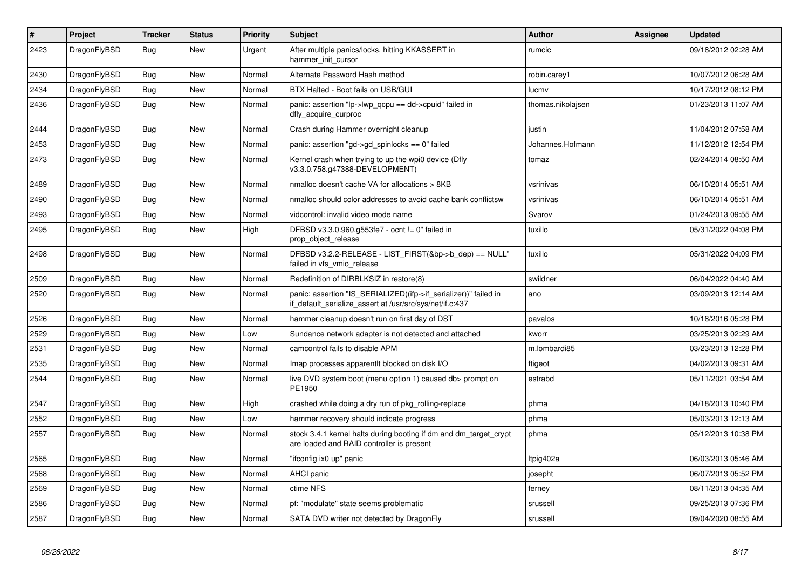| $\vert$ # | Project      | <b>Tracker</b> | <b>Status</b> | <b>Priority</b> | <b>Subject</b>                                                                                                               | <b>Author</b>     | Assignee | <b>Updated</b>      |
|-----------|--------------|----------------|---------------|-----------------|------------------------------------------------------------------------------------------------------------------------------|-------------------|----------|---------------------|
| 2423      | DragonFlyBSD | Bug            | New           | Urgent          | After multiple panics/locks, hitting KKASSERT in<br>hammer init cursor                                                       | rumcic            |          | 09/18/2012 02:28 AM |
| 2430      | DragonFlyBSD | Bug            | <b>New</b>    | Normal          | Alternate Password Hash method                                                                                               | robin.carey1      |          | 10/07/2012 06:28 AM |
| 2434      | DragonFlyBSD | Bug            | <b>New</b>    | Normal          | BTX Halted - Boot fails on USB/GUI                                                                                           | lucmv             |          | 10/17/2012 08:12 PM |
| 2436      | DragonFlyBSD | <b>Bug</b>     | <b>New</b>    | Normal          | panic: assertion "lp->lwp_qcpu == dd->cpuid" failed in<br>dfly_acquire_curproc                                               | thomas.nikolajsen |          | 01/23/2013 11:07 AM |
| 2444      | DragonFlyBSD | <b>Bug</b>     | <b>New</b>    | Normal          | Crash during Hammer overnight cleanup                                                                                        | justin            |          | 11/04/2012 07:58 AM |
| 2453      | DragonFlyBSD | <b>Bug</b>     | <b>New</b>    | Normal          | panic: assertion "gd->gd spinlocks == $0$ " failed                                                                           | Johannes.Hofmann  |          | 11/12/2012 12:54 PM |
| 2473      | DragonFlyBSD | <b>Bug</b>     | New           | Normal          | Kernel crash when trying to up the wpi0 device (Dfly<br>v3.3.0.758.g47388-DEVELOPMENT)                                       | tomaz             |          | 02/24/2014 08:50 AM |
| 2489      | DragonFlyBSD | Bug            | <b>New</b>    | Normal          | nmalloc doesn't cache VA for allocations > 8KB                                                                               | vsrinivas         |          | 06/10/2014 05:51 AM |
| 2490      | DragonFlyBSD | Bug            | <b>New</b>    | Normal          | nmalloc should color addresses to avoid cache bank conflictsw                                                                | vsrinivas         |          | 06/10/2014 05:51 AM |
| 2493      | DragonFlyBSD | <b>Bug</b>     | <b>New</b>    | Normal          | vidcontrol: invalid video mode name                                                                                          | Svarov            |          | 01/24/2013 09:55 AM |
| 2495      | DragonFlyBSD | <b>Bug</b>     | <b>New</b>    | High            | DFBSD v3.3.0.960.g553fe7 - ocnt != 0" failed in<br>prop object release                                                       | tuxillo           |          | 05/31/2022 04:08 PM |
| 2498      | DragonFlyBSD | <b>Bug</b>     | <b>New</b>    | Normal          | DFBSD v3.2.2-RELEASE - LIST_FIRST(&bp->b_dep) == NULL"<br>failed in vfs_vmio_release                                         | tuxillo           |          | 05/31/2022 04:09 PM |
| 2509      | DragonFlyBSD | Bug            | New           | Normal          | Redefinition of DIRBLKSIZ in restore(8)                                                                                      | swildner          |          | 06/04/2022 04:40 AM |
| 2520      | DragonFlyBSD | <b>Bug</b>     | <b>New</b>    | Normal          | panic: assertion "IS_SERIALIZED((ifp->if_serializer))" failed in<br>if_default_serialize_assert at /usr/src/sys/net/if.c:437 | ano               |          | 03/09/2013 12:14 AM |
| 2526      | DragonFlyBSD | Bug            | <b>New</b>    | Normal          | hammer cleanup doesn't run on first day of DST                                                                               | pavalos           |          | 10/18/2016 05:28 PM |
| 2529      | DragonFlyBSD | Bug            | <b>New</b>    | Low             | Sundance network adapter is not detected and attached                                                                        | kworr             |          | 03/25/2013 02:29 AM |
| 2531      | DragonFlyBSD | <b>Bug</b>     | New           | Normal          | camcontrol fails to disable APM                                                                                              | m.lombardi85      |          | 03/23/2013 12:28 PM |
| 2535      | DragonFlyBSD | Bug            | New           | Normal          | Imap processes apparentit blocked on disk I/O                                                                                | ftigeot           |          | 04/02/2013 09:31 AM |
| 2544      | DragonFlyBSD | Bug            | New           | Normal          | live DVD system boot (menu option 1) caused db> prompt on<br>PE1950                                                          | estrabd           |          | 05/11/2021 03:54 AM |
| 2547      | DragonFlyBSD | Bug            | <b>New</b>    | High            | crashed while doing a dry run of pkg rolling-replace                                                                         | phma              |          | 04/18/2013 10:40 PM |
| 2552      | DragonFlyBSD | Bug            | <b>New</b>    | Low             | hammer recovery should indicate progress                                                                                     | phma              |          | 05/03/2013 12:13 AM |
| 2557      | DragonFlyBSD | <b>Bug</b>     | <b>New</b>    | Normal          | stock 3.4.1 kernel halts during booting if dm and dm_target_crypt<br>are loaded and RAID controller is present               | phma              |          | 05/12/2013 10:38 PM |
| 2565      | DragonFlyBSD | Bug            | <b>New</b>    | Normal          | "ifconfig ix0 up" panic                                                                                                      | ltpig402a         |          | 06/03/2013 05:46 AM |
| 2568      | DragonFlyBSD | <b>Bug</b>     | <b>New</b>    | Normal          | <b>AHCI</b> panic                                                                                                            | josepht           |          | 06/07/2013 05:52 PM |
| 2569      | DragonFlyBSD | Bug            | New           | Normal          | ctime NFS                                                                                                                    | ferney            |          | 08/11/2013 04:35 AM |
| 2586      | DragonFlyBSD | Bug            | <b>New</b>    | Normal          | pf: "modulate" state seems problematic                                                                                       | srussell          |          | 09/25/2013 07:36 PM |
| 2587      | DragonFlyBSD | Bug            | New           | Normal          | SATA DVD writer not detected by DragonFly                                                                                    | srussell          |          | 09/04/2020 08:55 AM |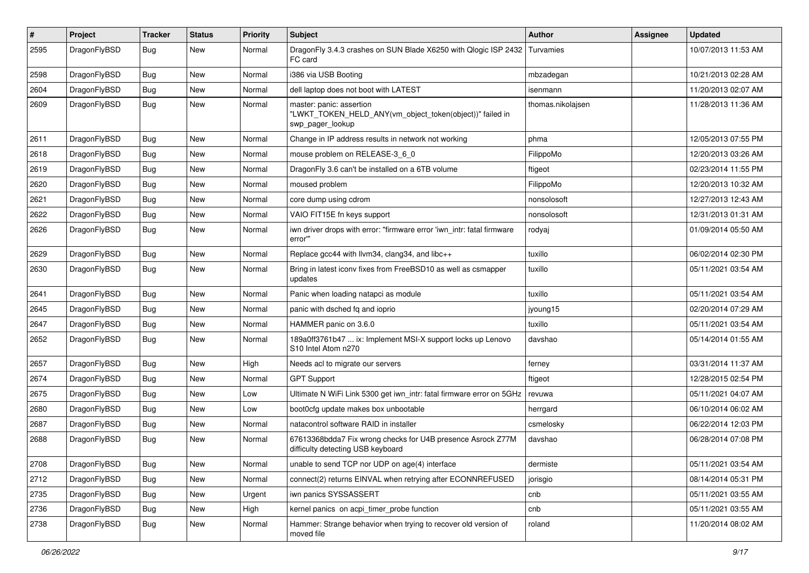| $\pmb{\#}$ | Project      | <b>Tracker</b> | <b>Status</b> | <b>Priority</b> | Subject                                                                                                  | <b>Author</b>     | Assignee | <b>Updated</b>      |
|------------|--------------|----------------|---------------|-----------------|----------------------------------------------------------------------------------------------------------|-------------------|----------|---------------------|
| 2595       | DragonFlyBSD | Bug            | New           | Normal          | DragonFly 3.4.3 crashes on SUN Blade X6250 with Qlogic ISP 2432<br>FC card                               | Turvamies         |          | 10/07/2013 11:53 AM |
| 2598       | DragonFlyBSD | <b>Bug</b>     | <b>New</b>    | Normal          | i386 via USB Booting                                                                                     | mbzadegan         |          | 10/21/2013 02:28 AM |
| 2604       | DragonFlyBSD | Bug            | <b>New</b>    | Normal          | dell laptop does not boot with LATEST                                                                    | isenmann          |          | 11/20/2013 02:07 AM |
| 2609       | DragonFlyBSD | Bug            | <b>New</b>    | Normal          | master: panic: assertion<br>"LWKT_TOKEN_HELD_ANY(vm_object_token(object))" failed in<br>swp_pager_lookup | thomas.nikolajsen |          | 11/28/2013 11:36 AM |
| 2611       | DragonFlyBSD | <b>Bug</b>     | <b>New</b>    | Normal          | Change in IP address results in network not working                                                      | phma              |          | 12/05/2013 07:55 PM |
| 2618       | DragonFlyBSD | Bug            | New           | Normal          | mouse problem on RELEASE-3_6_0                                                                           | FilippoMo         |          | 12/20/2013 03:26 AM |
| 2619       | DragonFlyBSD | Bug            | <b>New</b>    | Normal          | DragonFly 3.6 can't be installed on a 6TB volume                                                         | ftigeot           |          | 02/23/2014 11:55 PM |
| 2620       | DragonFlyBSD | <b>Bug</b>     | New           | Normal          | moused problem                                                                                           | FilippoMo         |          | 12/20/2013 10:32 AM |
| 2621       | DragonFlyBSD | Bug            | <b>New</b>    | Normal          | core dump using cdrom                                                                                    | nonsolosoft       |          | 12/27/2013 12:43 AM |
| 2622       | DragonFlyBSD | <b>Bug</b>     | <b>New</b>    | Normal          | VAIO FIT15E fn keys support                                                                              | nonsolosoft       |          | 12/31/2013 01:31 AM |
| 2626       | DragonFlyBSD | Bug            | New           | Normal          | iwn driver drops with error: "firmware error 'iwn intr: fatal firmware<br>error"                         | rodyaj            |          | 01/09/2014 05:50 AM |
| 2629       | DragonFlyBSD | Bug            | <b>New</b>    | Normal          | Replace gcc44 with llvm34, clang34, and libc++                                                           | tuxillo           |          | 06/02/2014 02:30 PM |
| 2630       | DragonFlyBSD | Bug            | New           | Normal          | Bring in latest iconv fixes from FreeBSD10 as well as csmapper<br>updates                                | tuxillo           |          | 05/11/2021 03:54 AM |
| 2641       | DragonFlyBSD | Bug            | <b>New</b>    | Normal          | Panic when loading natapci as module                                                                     | tuxillo           |          | 05/11/2021 03:54 AM |
| 2645       | DragonFlyBSD | Bug            | <b>New</b>    | Normal          | panic with dsched fq and ioprio                                                                          | jyoung15          |          | 02/20/2014 07:29 AM |
| 2647       | DragonFlyBSD | <b>Bug</b>     | <b>New</b>    | Normal          | HAMMER panic on 3.6.0                                                                                    | tuxillo           |          | 05/11/2021 03:54 AM |
| 2652       | DragonFlyBSD | Bug            | New           | Normal          | 189a0ff3761b47  ix: Implement MSI-X support locks up Lenovo<br>S10 Intel Atom n270                       | davshao           |          | 05/14/2014 01:55 AM |
| 2657       | DragonFlyBSD | Bug            | <b>New</b>    | High            | Needs acl to migrate our servers                                                                         | ferney            |          | 03/31/2014 11:37 AM |
| 2674       | DragonFlyBSD | Bug            | <b>New</b>    | Normal          | <b>GPT Support</b>                                                                                       | ftigeot           |          | 12/28/2015 02:54 PM |
| 2675       | DragonFlyBSD | Bug            | <b>New</b>    | Low             | Ultimate N WiFi Link 5300 get iwn_intr: fatal firmware error on 5GHz                                     | revuwa            |          | 05/11/2021 04:07 AM |
| 2680       | DragonFlyBSD | Bug            | <b>New</b>    | Low             | boot0cfg update makes box unbootable                                                                     | herrgard          |          | 06/10/2014 06:02 AM |
| 2687       | DragonFlyBSD | Bug            | New           | Normal          | natacontrol software RAID in installer                                                                   | csmelosky         |          | 06/22/2014 12:03 PM |
| 2688       | DragonFlyBSD | Bug            | New           | Normal          | 67613368bdda7 Fix wrong checks for U4B presence Asrock Z77M<br>difficulty detecting USB keyboard         | davshao           |          | 06/28/2014 07:08 PM |
| 2708       | DragonFlyBSD | Bug            | New           | Normal          | unable to send TCP nor UDP on age(4) interface                                                           | dermiste          |          | 05/11/2021 03:54 AM |
| 2712       | DragonFlyBSD | Bug            | <b>New</b>    | Normal          | connect(2) returns EINVAL when retrying after ECONNREFUSED                                               | jorisgio          |          | 08/14/2014 05:31 PM |
| 2735       | DragonFlyBSD | <b>Bug</b>     | <b>New</b>    | Urgent          | iwn panics SYSSASSERT                                                                                    | cnb               |          | 05/11/2021 03:55 AM |
| 2736       | DragonFlyBSD | Bug            | New           | High            | kernel panics on acpi_timer_probe function                                                               | cnb               |          | 05/11/2021 03:55 AM |
| 2738       | DragonFlyBSD | <b>Bug</b>     | New           | Normal          | Hammer: Strange behavior when trying to recover old version of<br>moved file                             | roland            |          | 11/20/2014 08:02 AM |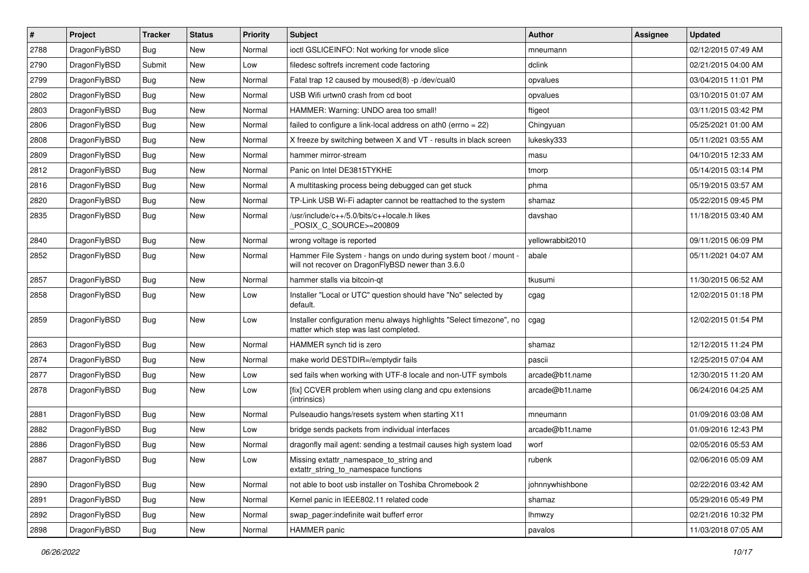| $\pmb{\#}$ | Project      | <b>Tracker</b> | <b>Status</b> | <b>Priority</b> | Subject                                                                                                              | <b>Author</b>    | <b>Assignee</b> | <b>Updated</b>      |
|------------|--------------|----------------|---------------|-----------------|----------------------------------------------------------------------------------------------------------------------|------------------|-----------------|---------------------|
| 2788       | DragonFlyBSD | Bug            | New           | Normal          | ioctl GSLICEINFO: Not working for vnode slice                                                                        | mneumann         |                 | 02/12/2015 07:49 AM |
| 2790       | DragonFlyBSD | Submit         | New           | Low             | filedesc softrefs increment code factoring                                                                           | dclink           |                 | 02/21/2015 04:00 AM |
| 2799       | DragonFlyBSD | Bug            | New           | Normal          | Fatal trap 12 caused by moused(8) -p/dev/cual0                                                                       | opvalues         |                 | 03/04/2015 11:01 PM |
| 2802       | DragonFlyBSD | Bug            | New           | Normal          | USB Wifi urtwn0 crash from cd boot                                                                                   | opvalues         |                 | 03/10/2015 01:07 AM |
| 2803       | DragonFlyBSD | <b>Bug</b>     | <b>New</b>    | Normal          | HAMMER: Warning: UNDO area too small!                                                                                | ftigeot          |                 | 03/11/2015 03:42 PM |
| 2806       | DragonFlyBSD | Bug            | <b>New</b>    | Normal          | failed to configure a link-local address on ath $0$ (errno = 22)                                                     | Chingyuan        |                 | 05/25/2021 01:00 AM |
| 2808       | DragonFlyBSD | <b>Bug</b>     | New           | Normal          | X freeze by switching between X and VT - results in black screen                                                     | lukesky333       |                 | 05/11/2021 03:55 AM |
| 2809       | DragonFlyBSD | Bug            | New           | Normal          | hammer mirror-stream                                                                                                 | masu             |                 | 04/10/2015 12:33 AM |
| 2812       | DragonFlyBSD | Bug            | New           | Normal          | Panic on Intel DE3815TYKHE                                                                                           | tmorp            |                 | 05/14/2015 03:14 PM |
| 2816       | DragonFlyBSD | Bug            | <b>New</b>    | Normal          | A multitasking process being debugged can get stuck                                                                  | phma             |                 | 05/19/2015 03:57 AM |
| 2820       | DragonFlyBSD | Bug            | New           | Normal          | TP-Link USB Wi-Fi adapter cannot be reattached to the system                                                         | shamaz           |                 | 05/22/2015 09:45 PM |
| 2835       | DragonFlyBSD | Bug            | <b>New</b>    | Normal          | /usr/include/c++/5.0/bits/c++locale.h likes<br>POSIX_C_SOURCE>=200809                                                | davshao          |                 | 11/18/2015 03:40 AM |
| 2840       | DragonFlyBSD | Bug            | <b>New</b>    | Normal          | wrong voltage is reported                                                                                            | yellowrabbit2010 |                 | 09/11/2015 06:09 PM |
| 2852       | DragonFlyBSD | Bug            | New           | Normal          | Hammer File System - hangs on undo during system boot / mount -<br>will not recover on DragonFlyBSD newer than 3.6.0 | abale            |                 | 05/11/2021 04:07 AM |
| 2857       | DragonFlyBSD | Bug            | <b>New</b>    | Normal          | hammer stalls via bitcoin-gt                                                                                         | tkusumi          |                 | 11/30/2015 06:52 AM |
| 2858       | DragonFlyBSD | Bug            | <b>New</b>    | Low             | Installer "Local or UTC" question should have "No" selected by<br>default.                                           | cgag             |                 | 12/02/2015 01:18 PM |
| 2859       | DragonFlyBSD | Bug            | <b>New</b>    | Low             | Installer configuration menu always highlights "Select timezone", no<br>matter which step was last completed.        | cgag             |                 | 12/02/2015 01:54 PM |
| 2863       | DragonFlyBSD | Bug            | <b>New</b>    | Normal          | HAMMER synch tid is zero                                                                                             | shamaz           |                 | 12/12/2015 11:24 PM |
| 2874       | DragonFlyBSD | Bug            | <b>New</b>    | Normal          | make world DESTDIR=/emptydir fails                                                                                   | pascii           |                 | 12/25/2015 07:04 AM |
| 2877       | DragonFlyBSD | Bug            | New           | Low             | sed fails when working with UTF-8 locale and non-UTF symbols                                                         | arcade@b1t.name  |                 | 12/30/2015 11:20 AM |
| 2878       | DragonFlyBSD | Bug            | New           | Low             | [fix] CCVER problem when using clang and cpu extensions<br>(intrinsics)                                              | arcade@b1t.name  |                 | 06/24/2016 04:25 AM |
| 2881       | DragonFlyBSD | <b>Bug</b>     | <b>New</b>    | Normal          | Pulseaudio hangs/resets system when starting X11                                                                     | mneumann         |                 | 01/09/2016 03:08 AM |
| 2882       | DragonFlyBSD | Bug            | <b>New</b>    | Low             | bridge sends packets from individual interfaces                                                                      | arcade@b1t.name  |                 | 01/09/2016 12:43 PM |
| 2886       | DragonFlyBSD | Bug            | <b>New</b>    | Normal          | dragonfly mail agent: sending a testmail causes high system load                                                     | worf             |                 | 02/05/2016 05:53 AM |
| 2887       | DragonFlyBSD | <b>Bug</b>     | I New         | Low             | Missing extattr_namespace_to_string and<br>extattr_string_to_namespace functions                                     | rubenk           |                 | 02/06/2016 05:09 AM |
| 2890       | DragonFlyBSD | Bug            | New           | Normal          | not able to boot usb installer on Toshiba Chromebook 2                                                               | johnnywhishbone  |                 | 02/22/2016 03:42 AM |
| 2891       | DragonFlyBSD | <b>Bug</b>     | New           | Normal          | Kernel panic in IEEE802.11 related code                                                                              | shamaz           |                 | 05/29/2016 05:49 PM |
| 2892       | DragonFlyBSD | Bug            | New           | Normal          | swap pager:indefinite wait bufferf error                                                                             | <b>Ihmwzy</b>    |                 | 02/21/2016 10:32 PM |
| 2898       | DragonFlyBSD | Bug            | New           | Normal          | <b>HAMMER</b> panic                                                                                                  | pavalos          |                 | 11/03/2018 07:05 AM |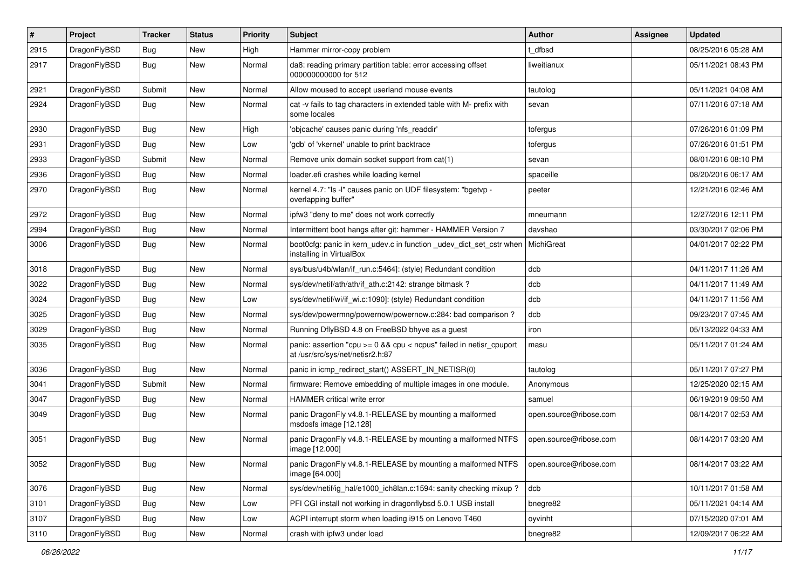| $\pmb{\#}$ | Project      | <b>Tracker</b> | <b>Status</b> | <b>Priority</b> | Subject                                                                                                 | <b>Author</b>          | <b>Assignee</b> | <b>Updated</b>      |
|------------|--------------|----------------|---------------|-----------------|---------------------------------------------------------------------------------------------------------|------------------------|-----------------|---------------------|
| 2915       | DragonFlyBSD | Bug            | <b>New</b>    | High            | Hammer mirror-copy problem                                                                              | dfbsd                  |                 | 08/25/2016 05:28 AM |
| 2917       | DragonFlyBSD | Bug            | <b>New</b>    | Normal          | da8: reading primary partition table: error accessing offset<br>000000000000 for 512                    | liweitianux            |                 | 05/11/2021 08:43 PM |
| 2921       | DragonFlyBSD | Submit         | <b>New</b>    | Normal          | Allow moused to accept userland mouse events                                                            | tautolog               |                 | 05/11/2021 04:08 AM |
| 2924       | DragonFlyBSD | Bug            | <b>New</b>    | Normal          | cat -v fails to tag characters in extended table with M- prefix with<br>some locales                    | sevan                  |                 | 07/11/2016 07:18 AM |
| 2930       | DragonFlyBSD | Bug            | <b>New</b>    | High            | 'objcache' causes panic during 'nfs_readdir'                                                            | tofergus               |                 | 07/26/2016 01:09 PM |
| 2931       | DragonFlyBSD | Bug            | <b>New</b>    | Low             | 'gdb' of 'vkernel' unable to print backtrace                                                            | tofergus               |                 | 07/26/2016 01:51 PM |
| 2933       | DragonFlyBSD | Submit         | <b>New</b>    | Normal          | Remove unix domain socket support from cat(1)                                                           | sevan                  |                 | 08/01/2016 08:10 PM |
| 2936       | DragonFlyBSD | Bug            | <b>New</b>    | Normal          | loader.efi crashes while loading kernel                                                                 | spaceille              |                 | 08/20/2016 06:17 AM |
| 2970       | DragonFlyBSD | Bug            | New           | Normal          | kernel 4.7: "Is -I" causes panic on UDF filesystem: "bgetvp -<br>overlapping buffer"                    | peeter                 |                 | 12/21/2016 02:46 AM |
| 2972       | DragonFlyBSD | <b>Bug</b>     | <b>New</b>    | Normal          | ipfw3 "deny to me" does not work correctly                                                              | mneumann               |                 | 12/27/2016 12:11 PM |
| 2994       | DragonFlyBSD | Bug            | <b>New</b>    | Normal          | Intermittent boot hangs after git: hammer - HAMMER Version 7                                            | davshao                |                 | 03/30/2017 02:06 PM |
| 3006       | DragonFlyBSD | Bug            | New           | Normal          | boot0cfg: panic in kern_udev.c in function _udev_dict_set_cstr when<br>installing in VirtualBox         | MichiGreat             |                 | 04/01/2017 02:22 PM |
| 3018       | DragonFlyBSD | Bug            | <b>New</b>    | Normal          | sys/bus/u4b/wlan/if_run.c:5464]: (style) Redundant condition                                            | dcb                    |                 | 04/11/2017 11:26 AM |
| 3022       | DragonFlyBSD | Bug            | <b>New</b>    | Normal          | sys/dev/netif/ath/ath/if_ath.c:2142: strange bitmask?                                                   | dcb                    |                 | 04/11/2017 11:49 AM |
| 3024       | DragonFlyBSD | <b>Bug</b>     | New           | Low             | sys/dev/netif/wi/if_wi.c:1090]: (style) Redundant condition                                             | dcb                    |                 | 04/11/2017 11:56 AM |
| 3025       | DragonFlyBSD | Bug            | <b>New</b>    | Normal          | sys/dev/powermng/powernow/powernow.c:284: bad comparison?                                               | dcb                    |                 | 09/23/2017 07:45 AM |
| 3029       | DragonFlyBSD | Bug            | <b>New</b>    | Normal          | Running DflyBSD 4.8 on FreeBSD bhyve as a guest                                                         | iron                   |                 | 05/13/2022 04:33 AM |
| 3035       | DragonFlyBSD | Bug            | New           | Normal          | panic: assertion "cpu >= 0 && cpu < ncpus" failed in netisr_cpuport<br>at /usr/src/sys/net/netisr2.h:87 | masu                   |                 | 05/11/2017 01:24 AM |
| 3036       | DragonFlyBSD | Bug            | <b>New</b>    | Normal          | panic in icmp_redirect_start() ASSERT_IN_NETISR(0)                                                      | tautolog               |                 | 05/11/2017 07:27 PM |
| 3041       | DragonFlyBSD | Submit         | New           | Normal          | firmware: Remove embedding of multiple images in one module.                                            | Anonymous              |                 | 12/25/2020 02:15 AM |
| 3047       | DragonFlyBSD | Bug            | <b>New</b>    | Normal          | <b>HAMMER</b> critical write error                                                                      | samuel                 |                 | 06/19/2019 09:50 AM |
| 3049       | DragonFlyBSD | Bug            | New           | Normal          | panic DragonFly v4.8.1-RELEASE by mounting a malformed<br>msdosfs image [12.128]                        | open.source@ribose.com |                 | 08/14/2017 02:53 AM |
| 3051       | DragonFlyBSD | Bug            | <b>New</b>    | Normal          | panic DragonFly v4.8.1-RELEASE by mounting a malformed NTFS<br>image [12.000]                           | open.source@ribose.com |                 | 08/14/2017 03:20 AM |
| 3052       | DragonFlyBSD | <b>Bug</b>     | New           | Normal          | panic DragonFly v4.8.1-RELEASE by mounting a malformed NTFS<br>image [64.000]                           | open.source@ribose.com |                 | 08/14/2017 03:22 AM |
| 3076       | DragonFlyBSD | <b>Bug</b>     | New           | Normal          | sys/dev/netif/ig_hal/e1000_ich8lan.c:1594: sanity checking mixup?                                       | dcb                    |                 | 10/11/2017 01:58 AM |
| 3101       | DragonFlyBSD | Bug            | New           | Low             | PFI CGI install not working in dragonflybsd 5.0.1 USB install                                           | bnegre82               |                 | 05/11/2021 04:14 AM |
| 3107       | DragonFlyBSD | Bug            | New           | Low             | ACPI interrupt storm when loading i915 on Lenovo T460                                                   | oyvinht                |                 | 07/15/2020 07:01 AM |
| 3110       | DragonFlyBSD | <b>Bug</b>     | New           | Normal          | crash with ipfw3 under load                                                                             | bnegre82               |                 | 12/09/2017 06:22 AM |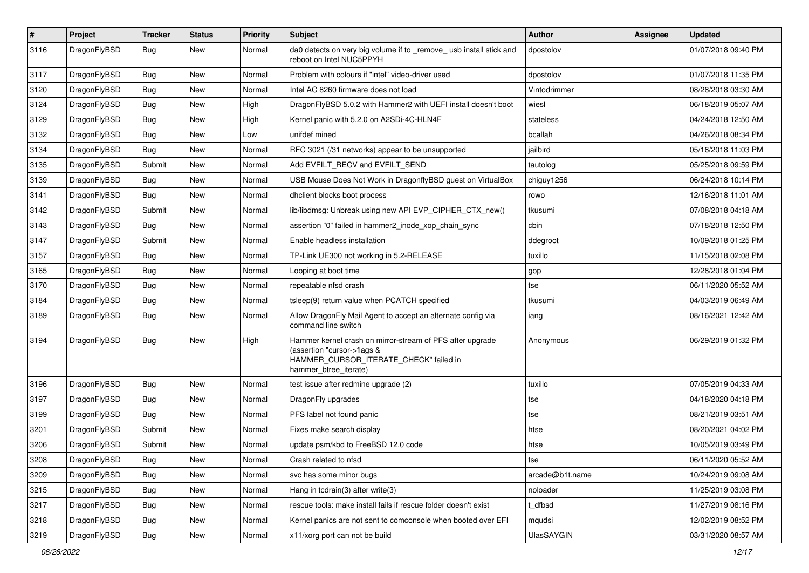| $\pmb{\#}$ | Project      | <b>Tracker</b> | <b>Status</b> | <b>Priority</b> | Subject                                                                                                                                                     | <b>Author</b>     | Assignee | <b>Updated</b>      |
|------------|--------------|----------------|---------------|-----------------|-------------------------------------------------------------------------------------------------------------------------------------------------------------|-------------------|----------|---------------------|
| 3116       | DragonFlyBSD | Bug            | New           | Normal          | da0 detects on very big volume if to _remove_ usb install stick and<br>reboot on Intel NUC5PPYH                                                             | dpostolov         |          | 01/07/2018 09:40 PM |
| 3117       | DragonFlyBSD | <b>Bug</b>     | <b>New</b>    | Normal          | Problem with colours if "intel" video-driver used                                                                                                           | dpostolov         |          | 01/07/2018 11:35 PM |
| 3120       | DragonFlyBSD | Bug            | <b>New</b>    | Normal          | Intel AC 8260 firmware does not load                                                                                                                        | Vintodrimmer      |          | 08/28/2018 03:30 AM |
| 3124       | DragonFlyBSD | Bug            | <b>New</b>    | High            | DragonFlyBSD 5.0.2 with Hammer2 with UEFI install doesn't boot                                                                                              | wiesl             |          | 06/18/2019 05:07 AM |
| 3129       | DragonFlyBSD | <b>Bug</b>     | New           | High            | Kernel panic with 5.2.0 on A2SDi-4C-HLN4F                                                                                                                   | stateless         |          | 04/24/2018 12:50 AM |
| 3132       | DragonFlyBSD | Bug            | <b>New</b>    | Low             | unifdef mined                                                                                                                                               | bcallah           |          | 04/26/2018 08:34 PM |
| 3134       | DragonFlyBSD | Bug            | New           | Normal          | RFC 3021 (/31 networks) appear to be unsupported                                                                                                            | jailbird          |          | 05/16/2018 11:03 PM |
| 3135       | DragonFlyBSD | Submit         | <b>New</b>    | Normal          | Add EVFILT RECV and EVFILT SEND                                                                                                                             | tautolog          |          | 05/25/2018 09:59 PM |
| 3139       | DragonFlyBSD | Bug            | <b>New</b>    | Normal          | USB Mouse Does Not Work in DragonflyBSD guest on VirtualBox                                                                                                 | chiguy1256        |          | 06/24/2018 10:14 PM |
| 3141       | DragonFlyBSD | <b>Bug</b>     | <b>New</b>    | Normal          | dhclient blocks boot process                                                                                                                                | rowo              |          | 12/16/2018 11:01 AM |
| 3142       | DragonFlyBSD | Submit         | New           | Normal          | lib/libdmsg: Unbreak using new API EVP_CIPHER_CTX_new()                                                                                                     | tkusumi           |          | 07/08/2018 04:18 AM |
| 3143       | DragonFlyBSD | <b>Bug</b>     | New           | Normal          | assertion "0" failed in hammer2_inode_xop_chain_sync                                                                                                        | cbin              |          | 07/18/2018 12:50 PM |
| 3147       | DragonFlyBSD | Submit         | <b>New</b>    | Normal          | Enable headless installation                                                                                                                                | ddegroot          |          | 10/09/2018 01:25 PM |
| 3157       | DragonFlyBSD | Bug            | New           | Normal          | TP-Link UE300 not working in 5.2-RELEASE                                                                                                                    | tuxillo           |          | 11/15/2018 02:08 PM |
| 3165       | DragonFlyBSD | <b>Bug</b>     | New           | Normal          | Looping at boot time                                                                                                                                        | gop               |          | 12/28/2018 01:04 PM |
| 3170       | DragonFlyBSD | Bug            | New           | Normal          | repeatable nfsd crash                                                                                                                                       | tse               |          | 06/11/2020 05:52 AM |
| 3184       | DragonFlyBSD | Bug            | <b>New</b>    | Normal          | tsleep(9) return value when PCATCH specified                                                                                                                | tkusumi           |          | 04/03/2019 06:49 AM |
| 3189       | DragonFlyBSD | Bug            | New           | Normal          | Allow DragonFly Mail Agent to accept an alternate config via<br>command line switch                                                                         | iang              |          | 08/16/2021 12:42 AM |
| 3194       | DragonFlyBSD | Bug            | New           | High            | Hammer kernel crash on mirror-stream of PFS after upgrade<br>(assertion "cursor->flags &<br>HAMMER_CURSOR_ITERATE_CHECK" failed in<br>hammer_btree_iterate) | Anonymous         |          | 06/29/2019 01:32 PM |
| 3196       | DragonFlyBSD | Bug            | <b>New</b>    | Normal          | test issue after redmine upgrade (2)                                                                                                                        | tuxillo           |          | 07/05/2019 04:33 AM |
| 3197       | DragonFlyBSD | Bug            | <b>New</b>    | Normal          | DragonFly upgrades                                                                                                                                          | tse               |          | 04/18/2020 04:18 PM |
| 3199       | DragonFlyBSD | Bug            | New           | Normal          | PFS label not found panic                                                                                                                                   | tse               |          | 08/21/2019 03:51 AM |
| 3201       | DragonFlyBSD | Submit         | New           | Normal          | Fixes make search display                                                                                                                                   | htse              |          | 08/20/2021 04:02 PM |
| 3206       | DragonFlyBSD | Submit         | New           | Normal          | update psm/kbd to FreeBSD 12.0 code                                                                                                                         | htse              |          | 10/05/2019 03:49 PM |
| 3208       | DragonFlyBSD | Bug            | New           | Normal          | Crash related to nfsd                                                                                                                                       | tse               |          | 06/11/2020 05:52 AM |
| 3209       | DragonFlyBSD | Bug            | New           | Normal          | svc has some minor bugs                                                                                                                                     | arcade@b1t.name   |          | 10/24/2019 09:08 AM |
| 3215       | DragonFlyBSD | <b>Bug</b>     | New           | Normal          | Hang in todrain(3) after write(3)                                                                                                                           | noloader          |          | 11/25/2019 03:08 PM |
| 3217       | DragonFlyBSD | <b>Bug</b>     | New           | Normal          | rescue tools: make install fails if rescue folder doesn't exist                                                                                             | t dfbsd           |          | 11/27/2019 08:16 PM |
| 3218       | DragonFlyBSD | <b>Bug</b>     | New           | Normal          | Kernel panics are not sent to comconsole when booted over EFI                                                                                               | mqudsi            |          | 12/02/2019 08:52 PM |
| 3219       | DragonFlyBSD | <b>Bug</b>     | New           | Normal          | x11/xorg port can not be build                                                                                                                              | <b>UlasSAYGIN</b> |          | 03/31/2020 08:57 AM |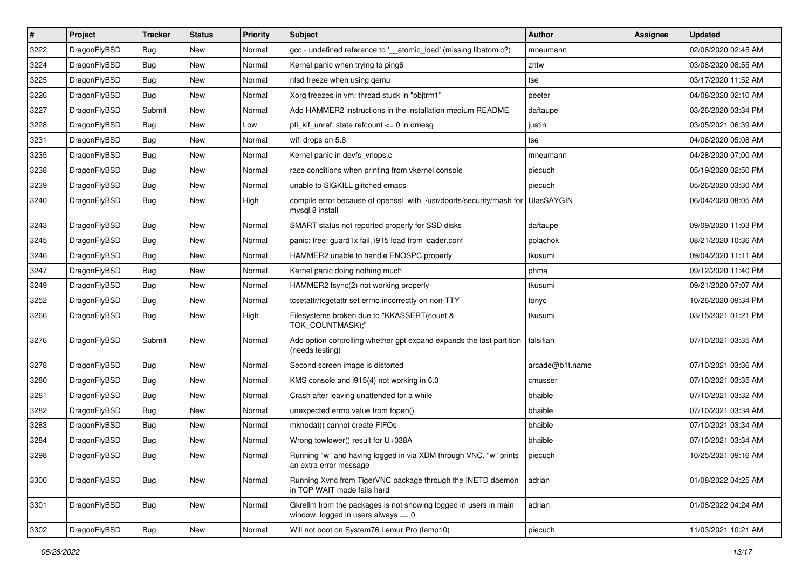| $\#$ | Project      | <b>Tracker</b> | <b>Status</b> | <b>Priority</b> | <b>Subject</b>                                                                                            | <b>Author</b>     | <b>Assignee</b> | <b>Updated</b>      |
|------|--------------|----------------|---------------|-----------------|-----------------------------------------------------------------------------------------------------------|-------------------|-----------------|---------------------|
| 3222 | DragonFlyBSD | Bug            | New           | Normal          | gcc - undefined reference to '__atomic_load' (missing libatomic?)                                         | mneumann          |                 | 02/08/2020 02:45 AM |
| 3224 | DragonFlyBSD | Bug            | <b>New</b>    | Normal          | Kernel panic when trying to ping6                                                                         | zhtw              |                 | 03/08/2020 08:55 AM |
| 3225 | DragonFlyBSD | <b>Bug</b>     | <b>New</b>    | Normal          | nfsd freeze when using gemu                                                                               | tse               |                 | 03/17/2020 11:52 AM |
| 3226 | DragonFlyBSD | <b>Bug</b>     | New           | Normal          | Xorg freezes in vm: thread stuck in "objtrm1"                                                             | peeter            |                 | 04/08/2020 02:10 AM |
| 3227 | DragonFlyBSD | Submit         | New           | Normal          | Add HAMMER2 instructions in the installation medium README                                                | daftaupe          |                 | 03/26/2020 03:34 PM |
| 3228 | DragonFlyBSD | <b>Bug</b>     | New           | Low             | pfi kif unref: state refcount $\leq$ 0 in dmesq                                                           | justin            |                 | 03/05/2021 06:39 AM |
| 3231 | DragonFlyBSD | Bug            | New           | Normal          | wifi drops on 5.8                                                                                         | tse               |                 | 04/06/2020 05:08 AM |
| 3235 | DragonFlyBSD | Bug            | <b>New</b>    | Normal          | Kernel panic in devfs vnops.c                                                                             | mneumann          |                 | 04/28/2020 07:00 AM |
| 3238 | DragonFlyBSD | Bug            | New           | Normal          | race conditions when printing from vkernel console                                                        | piecuch           |                 | 05/19/2020 02:50 PM |
| 3239 | DragonFlyBSD | Bug            | <b>New</b>    | Normal          | unable to SIGKILL glitched emacs                                                                          | piecuch           |                 | 05/26/2020 03:30 AM |
| 3240 | DragonFlyBSD | Bug            | New           | High            | compile error because of openssl with /usr/dports/security/rhash for<br>mysql 8 install                   | <b>UlasSAYGIN</b> |                 | 06/04/2020 08:05 AM |
| 3243 | DragonFlyBSD | Bug            | <b>New</b>    | Normal          | SMART status not reported properly for SSD disks                                                          | daftaupe          |                 | 09/09/2020 11:03 PM |
| 3245 | DragonFlyBSD | <b>Bug</b>     | <b>New</b>    | Normal          | panic: free: guard1x fail, i915 load from loader.conf                                                     | polachok          |                 | 08/21/2020 10:36 AM |
| 3246 | DragonFlyBSD | Bug            | New           | Normal          | HAMMER2 unable to handle ENOSPC properly                                                                  | tkusumi           |                 | 09/04/2020 11:11 AM |
| 3247 | DragonFlyBSD | Bug            | <b>New</b>    | Normal          | Kernel panic doing nothing much                                                                           | phma              |                 | 09/12/2020 11:40 PM |
| 3249 | DragonFlyBSD | Bug            | New           | Normal          | HAMMER2 fsync(2) not working properly                                                                     | tkusumi           |                 | 09/21/2020 07:07 AM |
| 3252 | DragonFlyBSD | Bug            | New           | Normal          | tcsetattr/tcgetattr set errno incorrectly on non-TTY                                                      | tonyc             |                 | 10/26/2020 09:34 PM |
| 3266 | DragonFlyBSD | Bug            | New           | High            | Filesystems broken due to "KKASSERT(count &<br>TOK_COUNTMASK);"                                           | tkusumi           |                 | 03/15/2021 01:21 PM |
| 3276 | DragonFlyBSD | Submit         | New           | Normal          | Add option controlling whether gpt expand expands the last partition<br>(needs testing)                   | falsifian         |                 | 07/10/2021 03:35 AM |
| 3278 | DragonFlyBSD | Bug            | New           | Normal          | Second screen image is distorted                                                                          | arcade@b1t.name   |                 | 07/10/2021 03:36 AM |
| 3280 | DragonFlyBSD | Bug            | New           | Normal          | KMS console and i915(4) not working in 6.0                                                                | cmusser           |                 | 07/10/2021 03:35 AM |
| 3281 | DragonFlyBSD | Bug            | New           | Normal          | Crash after leaving unattended for a while                                                                | bhaible           |                 | 07/10/2021 03:32 AM |
| 3282 | DragonFlyBSD | Bug            | <b>New</b>    | Normal          | unexpected errno value from fopen()                                                                       | bhaible           |                 | 07/10/2021 03:34 AM |
| 3283 | DragonFlyBSD | Bug            | New           | Normal          | mknodat() cannot create FIFOs                                                                             | bhaible           |                 | 07/10/2021 03:34 AM |
| 3284 | DragonFlyBSD | Bug            | New           | Normal          | Wrong towlower() result for U+038A                                                                        | bhaible           |                 | 07/10/2021 03:34 AM |
| 3298 | DragonFlyBSD | <b>Bug</b>     | New           | Normal          | Running "w" and having logged in via XDM through VNC, "w" prints<br>an extra error message                | piecuch           |                 | 10/25/2021 09:16 AM |
| 3300 | DragonFlyBSD | <b>Bug</b>     | New           | Normal          | Running Xvnc from TigerVNC package through the INETD daemon<br>in TCP WAIT mode fails hard                | adrian            |                 | 01/08/2022 04:25 AM |
| 3301 | DragonFlyBSD | Bug            | New           | Normal          | Gkrellm from the packages is not showing logged in users in main<br>window, logged in users always $== 0$ | adrian            |                 | 01/08/2022 04:24 AM |
| 3302 | DragonFlyBSD | <b>Bug</b>     | New           | Normal          | Will not boot on System76 Lemur Pro (lemp10)                                                              | piecuch           |                 | 11/03/2021 10:21 AM |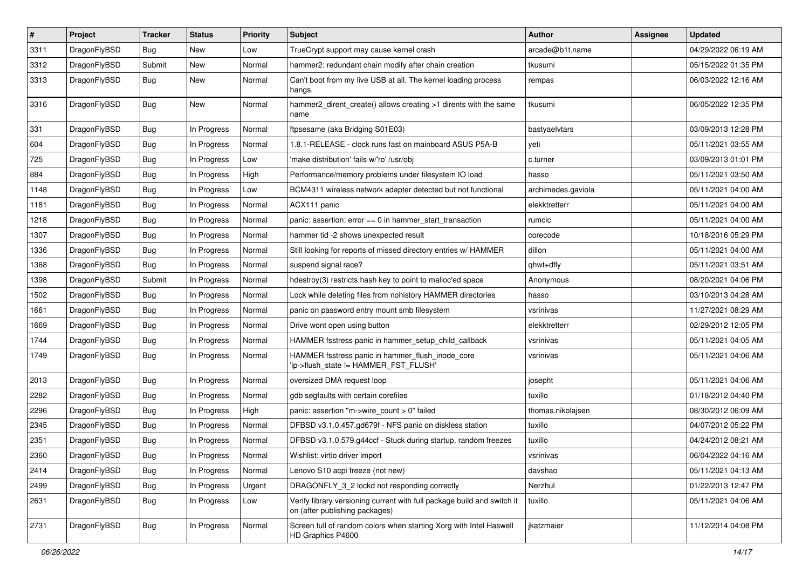| $\pmb{\#}$ | Project      | <b>Tracker</b> | <b>Status</b> | <b>Priority</b> | Subject                                                                                                   | <b>Author</b>      | Assignee | <b>Updated</b>      |
|------------|--------------|----------------|---------------|-----------------|-----------------------------------------------------------------------------------------------------------|--------------------|----------|---------------------|
| 3311       | DragonFlyBSD | <b>Bug</b>     | <b>New</b>    | Low             | TrueCrypt support may cause kernel crash                                                                  | arcade@b1t.name    |          | 04/29/2022 06:19 AM |
| 3312       | DragonFlyBSD | Submit         | <b>New</b>    | Normal          | hammer2: redundant chain modify after chain creation                                                      | tkusumi            |          | 05/15/2022 01:35 PM |
| 3313       | DragonFlyBSD | Bug            | New           | Normal          | Can't boot from my live USB at all. The kernel loading process<br>hangs.                                  | rempas             |          | 06/03/2022 12:16 AM |
| 3316       | DragonFlyBSD | Bug            | New           | Normal          | hammer2_dirent_create() allows creating >1 dirents with the same<br>name                                  | tkusumi            |          | 06/05/2022 12:35 PM |
| 331        | DragonFlyBSD | Bug            | In Progress   | Normal          | ftpsesame (aka Bridging S01E03)                                                                           | bastyaelvtars      |          | 03/09/2013 12:28 PM |
| 604        | DragonFlyBSD | Bug            | In Progress   | Normal          | 1.8.1-RELEASE - clock runs fast on mainboard ASUS P5A-B                                                   | yeti               |          | 05/11/2021 03:55 AM |
| 725        | DragonFlyBSD | Bug            | In Progress   | Low             | 'make distribution' fails w/'ro' /usr/obj                                                                 | c.turner           |          | 03/09/2013 01:01 PM |
| 884        | DragonFlyBSD | Bug            | In Progress   | High            | Performance/memory problems under filesystem IO load                                                      | hasso              |          | 05/11/2021 03:50 AM |
| 1148       | DragonFlyBSD | Bug            | In Progress   | Low             | BCM4311 wireless network adapter detected but not functional                                              | archimedes.gaviola |          | 05/11/2021 04:00 AM |
| 1181       | DragonFlyBSD | Bug            | In Progress   | Normal          | ACX111 panic                                                                                              | elekktretterr      |          | 05/11/2021 04:00 AM |
| 1218       | DragonFlyBSD | Bug            | In Progress   | Normal          | panic: assertion: $error == 0$ in hammer start transaction                                                | rumcic             |          | 05/11/2021 04:00 AM |
| 1307       | DragonFlyBSD | Bug            | In Progress   | Normal          | hammer tid -2 shows unexpected result                                                                     | corecode           |          | 10/18/2016 05:29 PM |
| 1336       | DragonFlyBSD | Bug            | In Progress   | Normal          | Still looking for reports of missed directory entries w/ HAMMER                                           | dillon             |          | 05/11/2021 04:00 AM |
| 1368       | DragonFlyBSD | Bug            | In Progress   | Normal          | suspend signal race?                                                                                      | qhwt+dfly          |          | 05/11/2021 03:51 AM |
| 1398       | DragonFlyBSD | Submit         | In Progress   | Normal          | hdestroy(3) restricts hash key to point to malloc'ed space                                                | Anonymous          |          | 08/20/2021 04:06 PM |
| 1502       | DragonFlyBSD | Bug            | In Progress   | Normal          | Lock while deleting files from nohistory HAMMER directories                                               | hasso              |          | 03/10/2013 04:28 AM |
| 1661       | DragonFlyBSD | Bug            | In Progress   | Normal          | panic on password entry mount smb filesystem                                                              | vsrinivas          |          | 11/27/2021 08:29 AM |
| 1669       | DragonFlyBSD | Bug            | In Progress   | Normal          | Drive wont open using button                                                                              | elekktretterr      |          | 02/29/2012 12:05 PM |
| 1744       | DragonFlyBSD | Bug            | In Progress   | Normal          | HAMMER fsstress panic in hammer setup child callback                                                      | vsrinivas          |          | 05/11/2021 04:05 AM |
| 1749       | DragonFlyBSD | Bug            | In Progress   | Normal          | HAMMER fsstress panic in hammer_flush_inode_core<br>'ip->flush_state != HAMMER_FST_FLUSH'                 | vsrinivas          |          | 05/11/2021 04:06 AM |
| 2013       | DragonFlyBSD | <b>Bug</b>     | In Progress   | Normal          | oversized DMA request loop                                                                                | josepht            |          | 05/11/2021 04:06 AM |
| 2282       | DragonFlyBSD | Bug            | In Progress   | Normal          | gdb segfaults with certain corefiles                                                                      | tuxillo            |          | 01/18/2012 04:40 PM |
| 2296       | DragonFlyBSD | Bug            | In Progress   | High            | panic: assertion "m->wire count > 0" failed                                                               | thomas.nikolajsen  |          | 08/30/2012 06:09 AM |
| 2345       | DragonFlyBSD | Bug            | In Progress   | Normal          | DFBSD v3.1.0.457.gd679f - NFS panic on diskless station                                                   | tuxillo            |          | 04/07/2012 05:22 PM |
| 2351       | DragonFlyBSD | Bug            | In Progress   | Normal          | DFBSD v3.1.0.579.g44ccf - Stuck during startup, random freezes                                            | tuxillo            |          | 04/24/2012 08:21 AM |
| 2360       | DragonFlyBSD | Bug            | In Progress   | Normal          | Wishlist: virtio driver import                                                                            | vsrinivas          |          | 06/04/2022 04:16 AM |
| 2414       | DragonFlyBSD | <b>Bug</b>     | In Progress   | Normal          | Lenovo S10 acpi freeze (not new)                                                                          | davshao            |          | 05/11/2021 04:13 AM |
| 2499       | DragonFlyBSD | Bug            | In Progress   | Urgent          | DRAGONFLY_3_2 lockd not responding correctly                                                              | Nerzhul            |          | 01/22/2013 12:47 PM |
| 2631       | DragonFlyBSD | Bug            | In Progress   | Low             | Verify library versioning current with full package build and switch it<br>on (after publishing packages) | tuxillo            |          | 05/11/2021 04:06 AM |
| 2731       | DragonFlyBSD | <b>Bug</b>     | In Progress   | Normal          | Screen full of random colors when starting Xorg with Intel Haswell<br>HD Graphics P4600                   | ikatzmaier         |          | 11/12/2014 04:08 PM |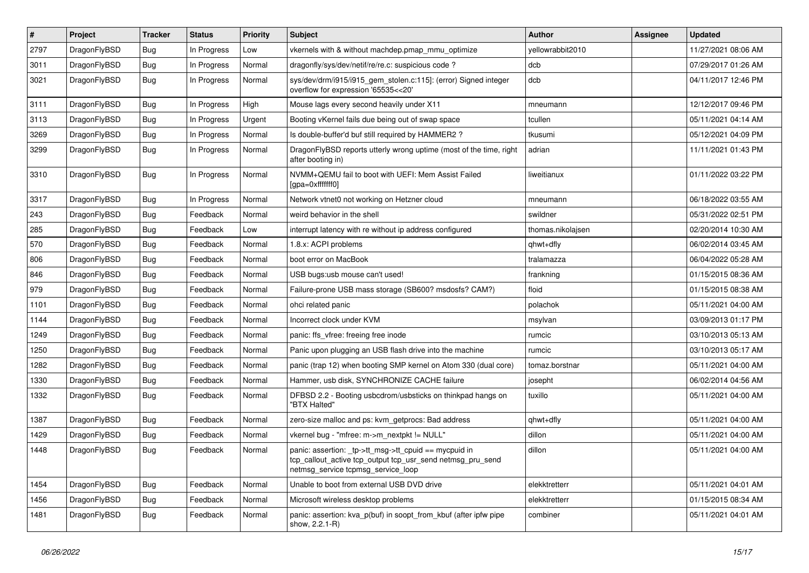| #    | Project      | <b>Tracker</b> | <b>Status</b> | <b>Priority</b> | <b>Subject</b>                                                                                                                                           | <b>Author</b>     | Assignee | <b>Updated</b>      |
|------|--------------|----------------|---------------|-----------------|----------------------------------------------------------------------------------------------------------------------------------------------------------|-------------------|----------|---------------------|
| 2797 | DragonFlyBSD | Bug            | In Progress   | Low             | vkernels with & without machdep.pmap mmu optimize                                                                                                        | yellowrabbit2010  |          | 11/27/2021 08:06 AM |
| 3011 | DragonFlyBSD | Bug            | In Progress   | Normal          | dragonfly/sys/dev/netif/re/re.c: suspicious code?                                                                                                        | dcb               |          | 07/29/2017 01:26 AM |
| 3021 | DragonFlyBSD | Bug            | In Progress   | Normal          | sys/dev/drm/i915/i915_gem_stolen.c:115]: (error) Signed integer<br>overflow for expression '65535<<20'                                                   | dcb               |          | 04/11/2017 12:46 PM |
| 3111 | DragonFlyBSD | Bug            | In Progress   | High            | Mouse lags every second heavily under X11                                                                                                                | mneumann          |          | 12/12/2017 09:46 PM |
| 3113 | DragonFlyBSD | Bug            | In Progress   | Urgent          | Booting vKernel fails due being out of swap space                                                                                                        | tcullen           |          | 05/11/2021 04:14 AM |
| 3269 | DragonFlyBSD | Bug            | In Progress   | Normal          | Is double-buffer'd buf still required by HAMMER2?                                                                                                        | tkusumi           |          | 05/12/2021 04:09 PM |
| 3299 | DragonFlyBSD | Bug            | In Progress   | Normal          | DragonFlyBSD reports utterly wrong uptime (most of the time, right<br>after booting in)                                                                  | adrian            |          | 11/11/2021 01:43 PM |
| 3310 | DragonFlyBSD | Bug            | In Progress   | Normal          | NVMM+QEMU fail to boot with UEFI: Mem Assist Failed<br>[gpa=0xfffffff0]                                                                                  | liweitianux       |          | 01/11/2022 03:22 PM |
| 3317 | DragonFlyBSD | Bug            | In Progress   | Normal          | Network vtnet0 not working on Hetzner cloud                                                                                                              | mneumann          |          | 06/18/2022 03:55 AM |
| 243  | DragonFlyBSD | <b>Bug</b>     | Feedback      | Normal          | weird behavior in the shell                                                                                                                              | swildner          |          | 05/31/2022 02:51 PM |
| 285  | DragonFlyBSD | Bug            | Feedback      | Low             | interrupt latency with re without ip address configured                                                                                                  | thomas.nikolajsen |          | 02/20/2014 10:30 AM |
| 570  | DragonFlyBSD | Bug            | Feedback      | Normal          | 1.8.x: ACPI problems                                                                                                                                     | qhwt+dfly         |          | 06/02/2014 03:45 AM |
| 806  | DragonFlyBSD | Bug            | Feedback      | Normal          | boot error on MacBook                                                                                                                                    | tralamazza        |          | 06/04/2022 05:28 AM |
| 846  | DragonFlyBSD | Bug            | Feedback      | Normal          | USB bugs:usb mouse can't used!                                                                                                                           | frankning         |          | 01/15/2015 08:36 AM |
| 979  | DragonFlyBSD | Bug            | Feedback      | Normal          | Failure-prone USB mass storage (SB600? msdosfs? CAM?)                                                                                                    | floid             |          | 01/15/2015 08:38 AM |
| 1101 | DragonFlyBSD | <b>Bug</b>     | Feedback      | Normal          | ohci related panic                                                                                                                                       | polachok          |          | 05/11/2021 04:00 AM |
| 1144 | DragonFlyBSD | <b>Bug</b>     | Feedback      | Normal          | Incorrect clock under KVM                                                                                                                                | msylvan           |          | 03/09/2013 01:17 PM |
| 1249 | DragonFlyBSD | <b>Bug</b>     | Feedback      | Normal          | panic: ffs_vfree: freeing free inode                                                                                                                     | rumcic            |          | 03/10/2013 05:13 AM |
| 1250 | DragonFlyBSD | <b>Bug</b>     | Feedback      | Normal          | Panic upon plugging an USB flash drive into the machine                                                                                                  | rumcic            |          | 03/10/2013 05:17 AM |
| 1282 | DragonFlyBSD | <b>Bug</b>     | Feedback      | Normal          | panic (trap 12) when booting SMP kernel on Atom 330 (dual core)                                                                                          | tomaz.borstnar    |          | 05/11/2021 04:00 AM |
| 1330 | DragonFlyBSD | <b>Bug</b>     | Feedback      | Normal          | Hammer, usb disk, SYNCHRONIZE CACHE failure                                                                                                              | josepht           |          | 06/02/2014 04:56 AM |
| 1332 | DragonFlyBSD | <b>Bug</b>     | Feedback      | Normal          | DFBSD 2.2 - Booting usbcdrom/usbsticks on thinkpad hangs on<br>"BTX Halted"                                                                              | tuxillo           |          | 05/11/2021 04:00 AM |
| 1387 | DragonFlyBSD | Bug            | Feedback      | Normal          | zero-size malloc and ps: kvm_getprocs: Bad address                                                                                                       | qhwt+dfly         |          | 05/11/2021 04:00 AM |
| 1429 | DragonFlyBSD | <b>Bug</b>     | Feedback      | Normal          | vkernel bug - "mfree: m->m_nextpkt != NULL"                                                                                                              | dillon            |          | 05/11/2021 04:00 AM |
| 1448 | DragonFlyBSD | Bug            | Feedback      | Normal          | panic: assertion: tp->tt_msg->tt_cpuid == mycpuid in<br>tcp callout active tcp output tcp usr send netmsg pru send<br>netmsg_service tcpmsg_service_loop | dillon            |          | 05/11/2021 04:00 AM |
| 1454 | DragonFlyBSD | <b>Bug</b>     | Feedback      | Normal          | Unable to boot from external USB DVD drive                                                                                                               | elekktretterr     |          | 05/11/2021 04:01 AM |
| 1456 | DragonFlyBSD | <b>Bug</b>     | Feedback      | Normal          | Microsoft wireless desktop problems                                                                                                                      | elekktretterr     |          | 01/15/2015 08:34 AM |
| 1481 | DragonFlyBSD | <b>Bug</b>     | Feedback      | Normal          | panic: assertion: kva_p(buf) in soopt_from_kbuf (after ipfw pipe<br>show, 2.2.1-R)                                                                       | combiner          |          | 05/11/2021 04:01 AM |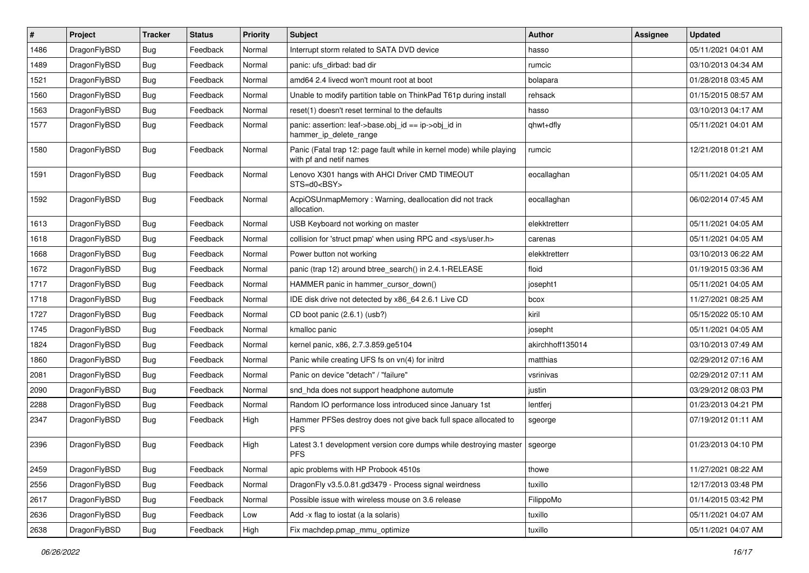| $\vert$ # | Project      | <b>Tracker</b> | <b>Status</b> | <b>Priority</b> | Subject                                                                                         | Author           | Assignee | <b>Updated</b>      |
|-----------|--------------|----------------|---------------|-----------------|-------------------------------------------------------------------------------------------------|------------------|----------|---------------------|
| 1486      | DragonFlyBSD | <b>Bug</b>     | Feedback      | Normal          | Interrupt storm related to SATA DVD device                                                      | hasso            |          | 05/11/2021 04:01 AM |
| 1489      | DragonFlyBSD | <b>Bug</b>     | Feedback      | Normal          | panic: ufs dirbad: bad dir                                                                      | rumcic           |          | 03/10/2013 04:34 AM |
| 1521      | DragonFlyBSD | <b>Bug</b>     | Feedback      | Normal          | amd64 2.4 livecd won't mount root at boot                                                       | bolapara         |          | 01/28/2018 03:45 AM |
| 1560      | DragonFlyBSD | Bug            | Feedback      | Normal          | Unable to modify partition table on ThinkPad T61p during install                                | rehsack          |          | 01/15/2015 08:57 AM |
| 1563      | DragonFlyBSD | Bug            | Feedback      | Normal          | reset(1) doesn't reset terminal to the defaults                                                 | hasso            |          | 03/10/2013 04:17 AM |
| 1577      | DragonFlyBSD | <b>Bug</b>     | Feedback      | Normal          | panic: assertion: leaf->base.obj id == ip->obj id in<br>hammer_ip_delete_range                  | qhwt+dfly        |          | 05/11/2021 04:01 AM |
| 1580      | DragonFlyBSD | <b>Bug</b>     | Feedback      | Normal          | Panic (Fatal trap 12: page fault while in kernel mode) while playing<br>with pf and netif names | rumcic           |          | 12/21/2018 01:21 AM |
| 1591      | DragonFlyBSD | <b>Bug</b>     | Feedback      | Normal          | Lenovo X301 hangs with AHCI Driver CMD TIMEOUT<br>STS=d0 <bsy></bsy>                            | eocallaghan      |          | 05/11/2021 04:05 AM |
| 1592      | DragonFlyBSD | Bug            | Feedback      | Normal          | AcpiOSUnmapMemory: Warning, deallocation did not track<br>allocation.                           | eocallaghan      |          | 06/02/2014 07:45 AM |
| 1613      | DragonFlyBSD | <b>Bug</b>     | Feedback      | Normal          | USB Keyboard not working on master                                                              | elekktretterr    |          | 05/11/2021 04:05 AM |
| 1618      | DragonFlyBSD | Bug            | Feedback      | Normal          | collision for 'struct pmap' when using RPC and <sys user.h=""></sys>                            | carenas          |          | 05/11/2021 04:05 AM |
| 1668      | DragonFlyBSD | <b>Bug</b>     | Feedback      | Normal          | Power button not working                                                                        | elekktretterr    |          | 03/10/2013 06:22 AM |
| 1672      | DragonFlyBSD | <b>Bug</b>     | Feedback      | Normal          | panic (trap 12) around btree_search() in 2.4.1-RELEASE                                          | floid            |          | 01/19/2015 03:36 AM |
| 1717      | DragonFlyBSD | Bug            | Feedback      | Normal          | HAMMER panic in hammer_cursor_down()                                                            | josepht1         |          | 05/11/2021 04:05 AM |
| 1718      | DragonFlyBSD | <b>Bug</b>     | Feedback      | Normal          | IDE disk drive not detected by x86_64 2.6.1 Live CD                                             | bcox             |          | 11/27/2021 08:25 AM |
| 1727      | DragonFlyBSD | Bug            | Feedback      | Normal          | CD boot panic (2.6.1) (usb?)                                                                    | kiril            |          | 05/15/2022 05:10 AM |
| 1745      | DragonFlyBSD | Bug            | Feedback      | Normal          | kmalloc panic                                                                                   | josepht          |          | 05/11/2021 04:05 AM |
| 1824      | DragonFlyBSD | <b>Bug</b>     | Feedback      | Normal          | kernel panic, x86, 2.7.3.859.ge5104                                                             | akirchhoff135014 |          | 03/10/2013 07:49 AM |
| 1860      | DragonFlyBSD | Bug            | Feedback      | Normal          | Panic while creating UFS fs on vn(4) for initrd                                                 | matthias         |          | 02/29/2012 07:16 AM |
| 2081      | DragonFlyBSD | <b>Bug</b>     | Feedback      | Normal          | Panic on device "detach" / "failure"                                                            | vsrinivas        |          | 02/29/2012 07:11 AM |
| 2090      | DragonFlyBSD | Bug            | Feedback      | Normal          | snd_hda does not support headphone automute                                                     | justin           |          | 03/29/2012 08:03 PM |
| 2288      | DragonFlyBSD | <b>Bug</b>     | Feedback      | Normal          | Random IO performance loss introduced since January 1st                                         | lentferj         |          | 01/23/2013 04:21 PM |
| 2347      | DragonFlyBSD | Bug            | Feedback      | High            | Hammer PFSes destroy does not give back full space allocated to<br><b>PFS</b>                   | sgeorge          |          | 07/19/2012 01:11 AM |
| 2396      | DragonFlyBSD | <b>Bug</b>     | Feedback      | High            | Latest 3.1 development version core dumps while destroying master<br><b>PFS</b>                 | sgeorge          |          | 01/23/2013 04:10 PM |
| 2459      | DragonFlyBSD | Bug            | Feedback      | Normal          | apic problems with HP Probook 4510s                                                             | thowe            |          | 11/27/2021 08:22 AM |
| 2556      | DragonFlyBSD | <b>Bug</b>     | Feedback      | Normal          | DragonFly v3.5.0.81.gd3479 - Process signal weirdness                                           | tuxillo          |          | 12/17/2013 03:48 PM |
| 2617      | DragonFlyBSD | <b>Bug</b>     | Feedback      | Normal          | Possible issue with wireless mouse on 3.6 release                                               | FilippoMo        |          | 01/14/2015 03:42 PM |
| 2636      | DragonFlyBSD | Bug            | Feedback      | Low             | Add -x flag to iostat (a la solaris)                                                            | tuxillo          |          | 05/11/2021 04:07 AM |
| 2638      | DragonFlyBSD | Bug            | Feedback      | High            | Fix machdep.pmap mmu optimize                                                                   | tuxillo          |          | 05/11/2021 04:07 AM |